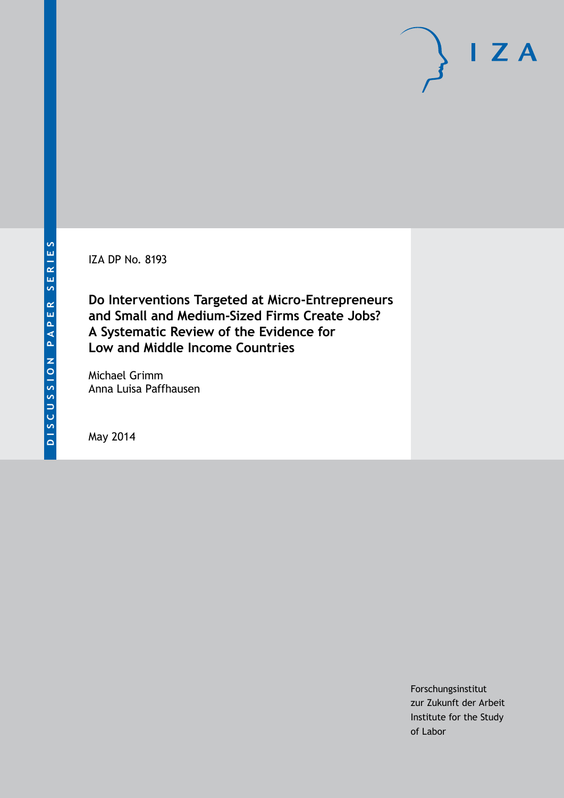IZA DP No. 8193

**Do Interventions Targeted at Micro-Entrepreneurs and Small and Medium-Sized Firms Create Jobs? A Systematic Review of the Evidence for Low and Middle Income Countries**

Michael Grimm Anna Luisa Paffhausen

May 2014

Forschungsinstitut zur Zukunft der Arbeit Institute for the Study of Labor

 $I Z A$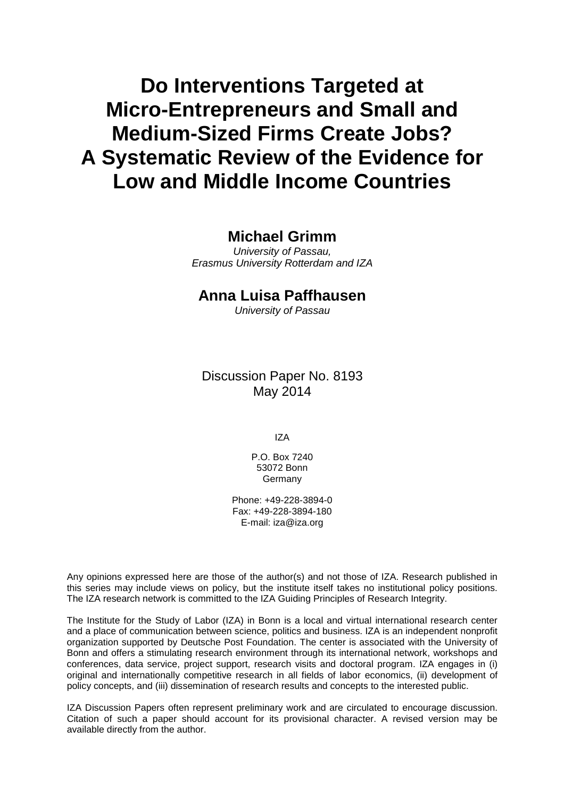# **Do Interventions Targeted at Micro-Entrepreneurs and Small and Medium-Sized Firms Create Jobs? A Systematic Review of the Evidence for Low and Middle Income Countries**

## **Michael Grimm**

*University of Passau, Erasmus University Rotterdam and IZA*

## **Anna Luisa Paffhausen**

*University of Passau*

Discussion Paper No. 8193 May 2014

IZA

P.O. Box 7240 53072 Bonn Germany

Phone: +49-228-3894-0 Fax: +49-228-3894-180 E-mail: [iza@iza.org](mailto:iza@iza.org)

Any opinions expressed here are those of the author(s) and not those of IZA. Research published in this series may include views on policy, but the institute itself takes no institutional policy positions. The IZA research network is committed to the IZA Guiding Principles of Research Integrity.

The Institute for the Study of Labor (IZA) in Bonn is a local and virtual international research center and a place of communication between science, politics and business. IZA is an independent nonprofit organization supported by Deutsche Post Foundation. The center is associated with the University of Bonn and offers a stimulating research environment through its international network, workshops and conferences, data service, project support, research visits and doctoral program. IZA engages in (i) original and internationally competitive research in all fields of labor economics, (ii) development of policy concepts, and (iii) dissemination of research results and concepts to the interested public.

<span id="page-1-0"></span>IZA Discussion Papers often represent preliminary work and are circulated to encourage discussion. Citation of such a paper should account for its provisional character. A revised version may be available directly from the author.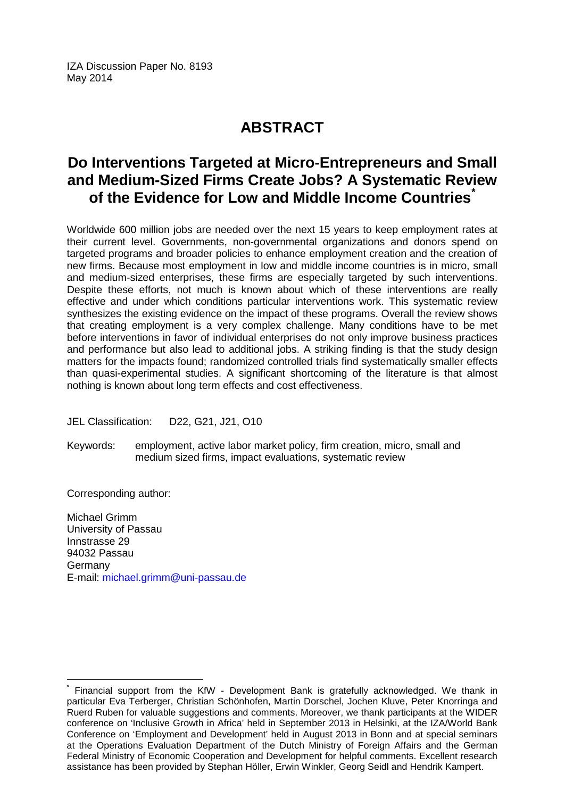IZA Discussion Paper No. 8193 May 2014

## **ABSTRACT**

## **Do Interventions Targeted at Micro-Entrepreneurs and Small and Medium-Sized Firms Create Jobs? A Systematic Review of the Evidence for Low and Middle Income Countries[\\*](#page-1-0)**

Worldwide 600 million jobs are needed over the next 15 years to keep employment rates at their current level. Governments, non-governmental organizations and donors spend on targeted programs and broader policies to enhance employment creation and the creation of new firms. Because most employment in low and middle income countries is in micro, small and medium-sized enterprises, these firms are especially targeted by such interventions. Despite these efforts, not much is known about which of these interventions are really effective and under which conditions particular interventions work. This systematic review synthesizes the existing evidence on the impact of these programs. Overall the review shows that creating employment is a very complex challenge. Many conditions have to be met before interventions in favor of individual enterprises do not only improve business practices and performance but also lead to additional jobs. A striking finding is that the study design matters for the impacts found; randomized controlled trials find systematically smaller effects than quasi-experimental studies. A significant shortcoming of the literature is that almost nothing is known about long term effects and cost effectiveness.

JEL Classification: D22, G21, J21, O10

Keywords: employment, active labor market policy, firm creation, micro, small and medium sized firms, impact evaluations, systematic review

Corresponding author:

Michael Grimm University of Passau Innstrasse 29 94032 Passau Germany E-mail: [michael.grimm@uni-passau.de](mailto:michael.grimm@uni-passau.de)

Financial support from the KfW - Development Bank is gratefully acknowledged. We thank in particular Eva Terberger, Christian Schönhofen, Martin Dorschel, Jochen Kluve, Peter Knorringa and Ruerd Ruben for valuable suggestions and comments. Moreover, we thank participants at the WIDER conference on 'Inclusive Growth in Africa' held in September 2013 in Helsinki, at the IZA/World Bank Conference on 'Employment and Development' held in August 2013 in Bonn and at special seminars at the Operations Evaluation Department of the Dutch Ministry of Foreign Affairs and the German Federal Ministry of Economic Cooperation and Development for helpful comments. Excellent research assistance has been provided by Stephan Höller, Erwin Winkler, Georg Seidl and Hendrik Kampert.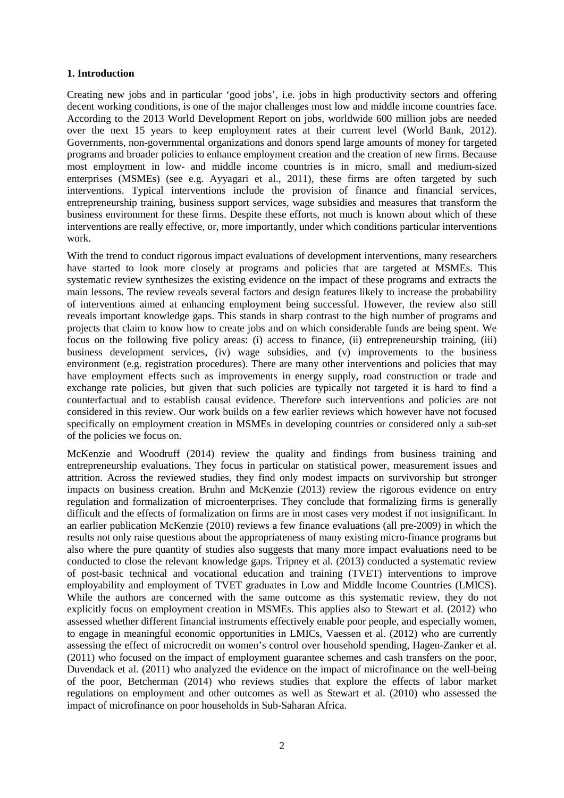#### **1. Introduction**

Creating new jobs and in particular 'good jobs', i.e. jobs in high productivity sectors and offering decent working conditions, is one of the major challenges most low and middle income countries face. According to the 2013 World Development Report on jobs, worldwide 600 million jobs are needed over the next 15 years to keep employment rates at their current level (World Bank, 2012). Governments, non-governmental organizations and donors spend large amounts of money for targeted programs and broader policies to enhance employment creation and the creation of new firms. Because most employment in low- and middle income countries is in micro, small and medium-sized enterprises (MSMEs) (see e.g. Ayyagari et al., 2011), these firms are often targeted by such interventions. Typical interventions include the provision of finance and financial services, entrepreneurship training, business support services, wage subsidies and measures that transform the business environment for these firms. Despite these efforts, not much is known about which of these interventions are really effective, or, more importantly, under which conditions particular interventions work.

With the trend to conduct rigorous impact evaluations of development interventions, many researchers have started to look more closely at programs and policies that are targeted at MSMEs. This systematic review synthesizes the existing evidence on the impact of these programs and extracts the main lessons. The review reveals several factors and design features likely to increase the probability of interventions aimed at enhancing employment being successful. However, the review also still reveals important knowledge gaps. This stands in sharp contrast to the high number of programs and projects that claim to know how to create jobs and on which considerable funds are being spent. We focus on the following five policy areas: (i) access to finance, (ii) entrepreneurship training, (iii) business development services, (iv) wage subsidies, and (v) improvements to the business environment (e.g. registration procedures). There are many other interventions and policies that may have employment effects such as improvements in energy supply, road construction or trade and exchange rate policies, but given that such policies are typically not targeted it is hard to find a counterfactual and to establish causal evidence. Therefore such interventions and policies are not considered in this review. Our work builds on a few earlier reviews which however have not focused specifically on employment creation in MSMEs in developing countries or considered only a sub-set of the policies we focus on.

McKenzie and Woodruff (2014) review the quality and findings from business training and entrepreneurship evaluations. They focus in particular on statistical power, measurement issues and attrition. Across the reviewed studies, they find only modest impacts on survivorship but stronger impacts on business creation. Bruhn and McKenzie (2013) review the rigorous evidence on entry regulation and formalization of microenterprises. They conclude that formalizing firms is generally difficult and the effects of formalization on firms are in most cases very modest if not insignificant. In an earlier publication McKenzie (2010) reviews a few finance evaluations (all pre-2009) in which the results not only raise questions about the appropriateness of many existing micro-finance programs but also where the pure quantity of studies also suggests that many more impact evaluations need to be conducted to close the relevant knowledge gaps. Tripney et al. (2013) conducted a systematic review of post-basic technical and vocational education and training (TVET) interventions to improve employability and employment of TVET graduates in Low and Middle Income Countries (LMICS). While the authors are concerned with the same outcome as this systematic review, they do not explicitly focus on employment creation in MSMEs. This applies also to Stewart et al. (2012) who assessed whether different financial instruments effectively enable poor people, and especially women, to engage in meaningful economic opportunities in LMICs, Vaessen et al. (2012) who are currently assessing the effect of microcredit on women's control over household spending, Hagen-Zanker et al. (2011) who focused on the impact of employment guarantee schemes and cash transfers on the poor, Duvendack et al. (2011) who analyzed the evidence on the impact of microfinance on the well-being of the poor, Betcherman (2014) who reviews studies that explore the effects of labor market regulations on employment and other outcomes as well as Stewart et al. (2010) who assessed the impact of microfinance on poor households in Sub-Saharan Africa.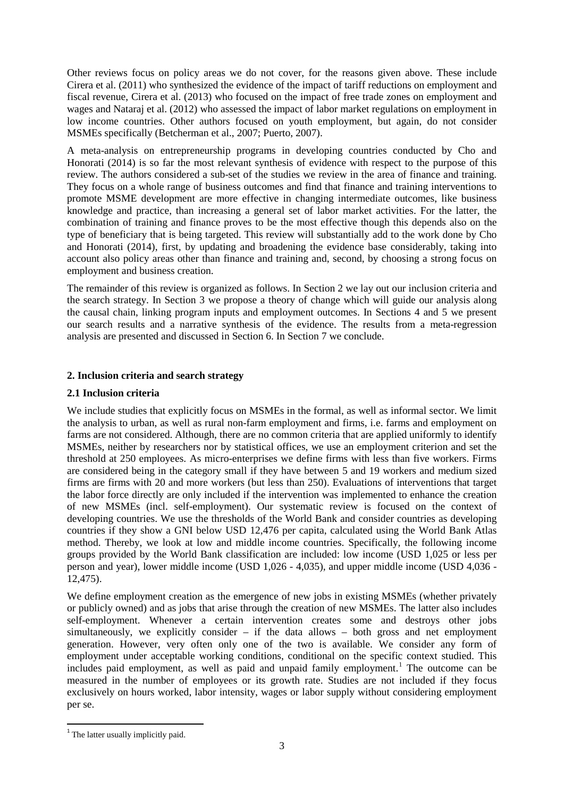Other reviews focus on policy areas we do not cover, for the reasons given above. These include Cirera et al. (2011) who synthesized the evidence of the impact of tariff reductions on employment and fiscal revenue, Cirera et al. (2013) who focused on the impact of free trade zones on employment and wages and Nataraj et al. (2012) who assessed the impact of labor market regulations on employment in low income countries. Other authors focused on youth employment, but again, do not consider MSMEs specifically (Betcherman et al., 2007; Puerto, 2007).

A meta-analysis on entrepreneurship programs in developing countries conducted by Cho and Honorati (2014) is so far the most relevant synthesis of evidence with respect to the purpose of this review. The authors considered a sub-set of the studies we review in the area of finance and training. They focus on a whole range of business outcomes and find that finance and training interventions to promote MSME development are more effective in changing intermediate outcomes, like business knowledge and practice, than increasing a general set of labor market activities. For the latter, the combination of training and finance proves to be the most effective though this depends also on the type of beneficiary that is being targeted. This review will substantially add to the work done by Cho and Honorati (2014), first, by updating and broadening the evidence base considerably, taking into account also policy areas other than finance and training and, second, by choosing a strong focus on employment and business creation.

The remainder of this review is organized as follows. In Section 2 we lay out our inclusion criteria and the search strategy. In Section 3 we propose a theory of change which will guide our analysis along the causal chain, linking program inputs and employment outcomes. In Sections 4 and 5 we present our search results and a narrative synthesis of the evidence. The results from a meta-regression analysis are presented and discussed in Section 6. In Section 7 we conclude.

#### **2. Inclusion criteria and search strategy**

#### **2.1 Inclusion criteria**

We include studies that explicitly focus on MSMEs in the formal, as well as informal sector. We limit the analysis to urban, as well as rural non-farm employment and firms, i.e. farms and employment on farms are not considered. Although, there are no common criteria that are applied uniformly to identify MSMEs, neither by researchers nor by statistical offices, we use an employment criterion and set the threshold at 250 employees. As micro-enterprises we define firms with less than five workers. Firms are considered being in the category small if they have between 5 and 19 workers and medium sized firms are firms with 20 and more workers (but less than 250). Evaluations of interventions that target the labor force directly are only included if the intervention was implemented to enhance the creation of new MSMEs (incl. self-employment). Our systematic review is focused on the context of developing countries. We use the thresholds of the World Bank and consider countries as developing countries if they show a GNI below USD 12,476 per capita, calculated using the World Bank Atlas method. Thereby, we look at low and middle income countries. Specifically, the following income groups provided by the World Bank classification are included: low income (USD 1,025 or less per person and year), lower middle income (USD 1,026 - 4,035), and upper middle income (USD 4,036 - 12,475).

We define employment creation as the emergence of new jobs in existing MSMEs (whether privately or publicly owned) and as jobs that arise through the creation of new MSMEs. The latter also includes self-employment. Whenever a certain intervention creates some and destroys other jobs simultaneously, we explicitly consider – if the data allows – both gross and net employment generation. However, very often only one of the two is available. We consider any form of employment under acceptable working conditions, conditional on the specific context studied. This includes paid employment, as well as paid and unpaid family employment.<sup>1</sup> The outcome can be measured in the number of employees or its growth rate. Studies are not included if they focus exclusively on hours worked, labor intensity, wages or labor supply without considering employment per se.

<span id="page-4-0"></span><sup>&</sup>lt;sup>1</sup> The latter usually implicitly paid.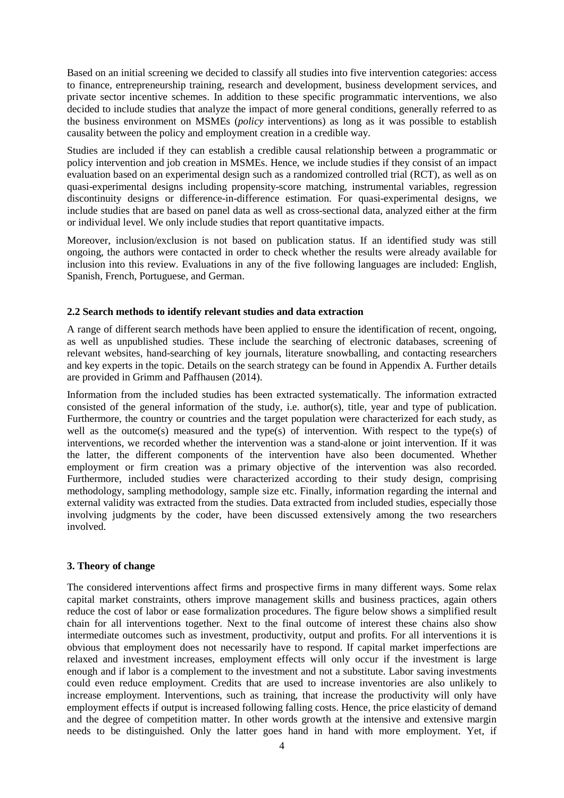Based on an initial screening we decided to classify all studies into five intervention categories: access to finance, entrepreneurship training, research and development, business development services, and private sector incentive schemes. In addition to these specific programmatic interventions, we also decided to include studies that analyze the impact of more general conditions, generally referred to as the business environment on MSMEs (*policy* interventions) as long as it was possible to establish causality between the policy and employment creation in a credible way.

Studies are included if they can establish a credible causal relationship between a programmatic or policy intervention and job creation in MSMEs. Hence, we include studies if they consist of an impact evaluation based on an experimental design such as a randomized controlled trial (RCT), as well as on quasi-experimental designs including propensity-score matching, instrumental variables, regression discontinuity designs or difference-in-difference estimation. For quasi-experimental designs, we include studies that are based on panel data as well as cross-sectional data, analyzed either at the firm or individual level. We only include studies that report quantitative impacts.

Moreover, inclusion/exclusion is not based on publication status. If an identified study was still ongoing, the authors were contacted in order to check whether the results were already available for inclusion into this review. Evaluations in any of the five following languages are included: English, Spanish, French, Portuguese, and German.

#### **2.2 Search methods to identify relevant studies and data extraction**

A range of different search methods have been applied to ensure the identification of recent, ongoing, as well as unpublished studies. These include the searching of electronic databases, screening of relevant websites, hand-searching of key journals, literature snowballing, and contacting researchers and key experts in the topic. Details on the search strategy can be found in Appendix A. Further details are provided in Grimm and Paffhausen (2014).

Information from the included studies has been extracted systematically. The information extracted consisted of the general information of the study, i.e. author(s), title, year and type of publication. Furthermore, the country or countries and the target population were characterized for each study, as well as the outcome(s) measured and the type(s) of intervention. With respect to the type(s) of interventions, we recorded whether the intervention was a stand-alone or joint intervention. If it was the latter, the different components of the intervention have also been documented. Whether employment or firm creation was a primary objective of the intervention was also recorded. Furthermore, included studies were characterized according to their study design, comprising methodology, sampling methodology, sample size etc. Finally, information regarding the internal and external validity was extracted from the studies. Data extracted from included studies, especially those involving judgments by the coder, have been discussed extensively among the two researchers involved.

#### **3. Theory of change**

The considered interventions affect firms and prospective firms in many different ways. Some relax capital market constraints, others improve management skills and business practices, again others reduce the cost of labor or ease formalization procedures. The figure below shows a simplified result chain for all interventions together. Next to the final outcome of interest these chains also show intermediate outcomes such as investment, productivity, output and profits. For all interventions it is obvious that employment does not necessarily have to respond. If capital market imperfections are relaxed and investment increases, employment effects will only occur if the investment is large enough and if labor is a complement to the investment and not a substitute. Labor saving investments could even reduce employment. Credits that are used to increase inventories are also unlikely to increase employment. Interventions, such as training, that increase the productivity will only have employment effects if output is increased following falling costs. Hence, the price elasticity of demand and the degree of competition matter. In other words growth at the intensive and extensive margin needs to be distinguished. Only the latter goes hand in hand with more employment. Yet, if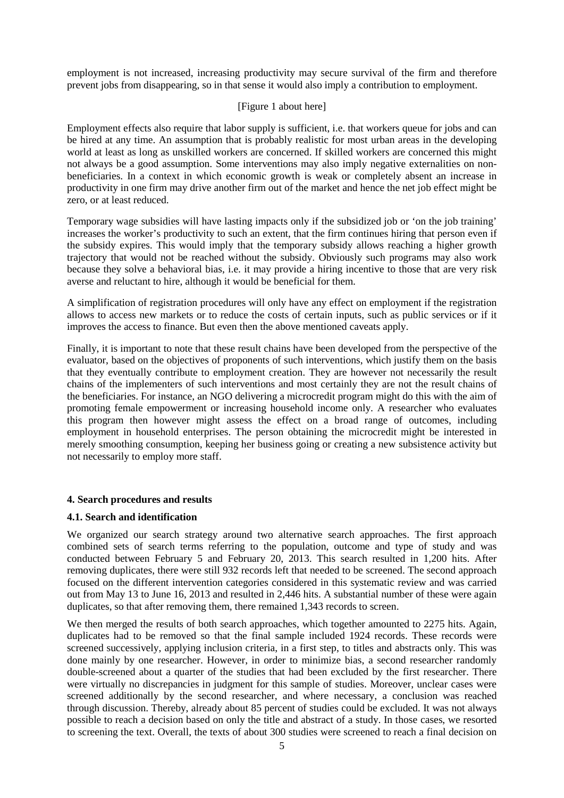employment is not increased, increasing productivity may secure survival of the firm and therefore prevent jobs from disappearing, so in that sense it would also imply a contribution to employment.

#### [Figure 1 about here]

Employment effects also require that labor supply is sufficient, i.e. that workers queue for jobs and can be hired at any time. An assumption that is probably realistic for most urban areas in the developing world at least as long as unskilled workers are concerned. If skilled workers are concerned this might not always be a good assumption. Some interventions may also imply negative externalities on nonbeneficiaries. In a context in which economic growth is weak or completely absent an increase in productivity in one firm may drive another firm out of the market and hence the net job effect might be zero, or at least reduced.

Temporary wage subsidies will have lasting impacts only if the subsidized job or 'on the job training' increases the worker's productivity to such an extent, that the firm continues hiring that person even if the subsidy expires. This would imply that the temporary subsidy allows reaching a higher growth trajectory that would not be reached without the subsidy. Obviously such programs may also work because they solve a behavioral bias, i.e. it may provide a hiring incentive to those that are very risk averse and reluctant to hire, although it would be beneficial for them.

A simplification of registration procedures will only have any effect on employment if the registration allows to access new markets or to reduce the costs of certain inputs, such as public services or if it improves the access to finance. But even then the above mentioned caveats apply.

Finally, it is important to note that these result chains have been developed from the perspective of the evaluator, based on the objectives of proponents of such interventions, which justify them on the basis that they eventually contribute to employment creation. They are however not necessarily the result chains of the implementers of such interventions and most certainly they are not the result chains of the beneficiaries. For instance, an NGO delivering a microcredit program might do this with the aim of promoting female empowerment or increasing household income only. A researcher who evaluates this program then however might assess the effect on a broad range of outcomes, including employment in household enterprises. The person obtaining the microcredit might be interested in merely smoothing consumption, keeping her business going or creating a new subsistence activity but not necessarily to employ more staff.

#### **4. Search procedures and results**

#### **4.1. Search and identification**

We organized our search strategy around two alternative search approaches. The first approach combined sets of search terms referring to the population, outcome and type of study and was conducted between February 5 and February 20, 2013. This search resulted in 1,200 hits. After removing duplicates, there were still 932 records left that needed to be screened. The second approach focused on the different intervention categories considered in this systematic review and was carried out from May 13 to June 16, 2013 and resulted in 2,446 hits. A substantial number of these were again duplicates, so that after removing them, there remained 1,343 records to screen.

We then merged the results of both search approaches, which together amounted to 2275 hits. Again, duplicates had to be removed so that the final sample included 1924 records. These records were screened successively, applying inclusion criteria, in a first step, to titles and abstracts only. This was done mainly by one researcher. However, in order to minimize bias, a second researcher randomly double-screened about a quarter of the studies that had been excluded by the first researcher. There were virtually no discrepancies in judgment for this sample of studies. Moreover, unclear cases were screened additionally by the second researcher, and where necessary, a conclusion was reached through discussion. Thereby, already about 85 percent of studies could be excluded. It was not always possible to reach a decision based on only the title and abstract of a study. In those cases, we resorted to screening the text. Overall, the texts of about 300 studies were screened to reach a final decision on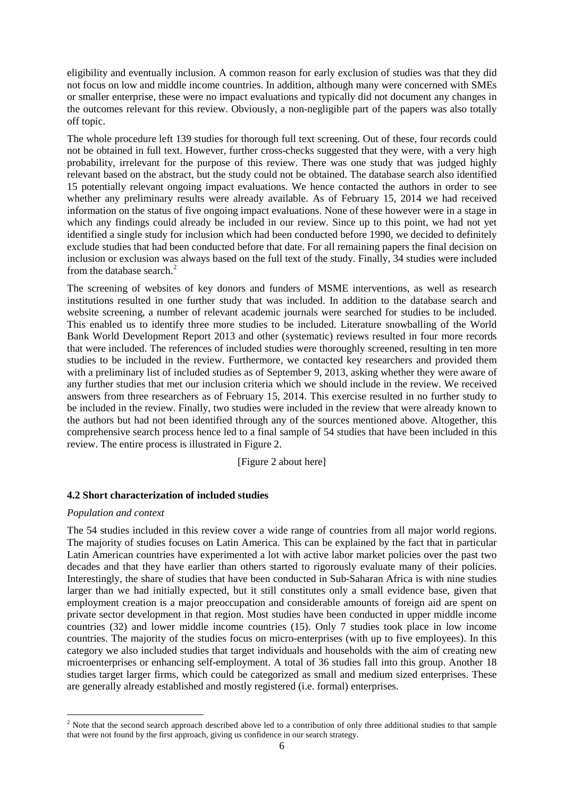eligibility and eventually inclusion. A common reason for early exclusion of studies was that they did not focus on low and middle income countries. In addition, although many were concerned with SMEs or smaller enterprise, these were no impact evaluations and typically did not document any changes in the outcomes relevant for this review. Obviously, a non-negligible part of the papers was also totally off topic.

The whole procedure left 139 studies for thorough full text screening. Out of these, four records could not be obtained in full text. However, further cross-checks suggested that they were, with a very high probability, irrelevant for the purpose of this review. There was one study that was judged highly relevant based on the abstract, but the study could not be obtained. The database search also identified 15 potentially relevant ongoing impact evaluations. We hence contacted the authors in order to see whether any preliminary results were already available. As of February 15, 2014 we had received information on the status of five ongoing impact evaluations. None of these however were in a stage in which any findings could already be included in our review. Since up to this point, we had not yet identified a single study for inclusion which had been conducted before 1990, we decided to definitely exclude studies that had been conducted before that date. For all remaining papers the final decision on inclusion or exclusion was always based on the full text of the study. Finally, 34 studies were included from the database search.<sup>[2](#page-4-0)</sup>

The screening of websites of key donors and funders of MSME interventions, as well as research institutions resulted in one further study that was included. In addition to the database search and website screening, a number of relevant academic journals were searched for studies to be included. This enabled us to identify three more studies to be included. Literature snowballing of the World Bank World Development Report 2013 and other (systematic) reviews resulted in four more records that were included. The references of included studies were thoroughly screened, resulting in ten more studies to be included in the review. Furthermore, we contacted key researchers and provided them with a preliminary list of included studies as of September 9, 2013, asking whether they were aware of any further studies that met our inclusion criteria which we should include in the review. We received answers from three researchers as of February 15, 2014. This exercise resulted in no further study to be included in the review. Finally, two studies were included in the review that were already known to the authors but had not been identified through any of the sources mentioned above. Altogether, this comprehensive search process hence led to a final sample of 54 studies that have been included in this review. The entire process is illustrated in Figure 2.

[Figure 2 about here]

#### **4.2 Short characterization of included studies**

#### *Population and context*

 $\overline{a}$ 

The 54 studies included in this review cover a wide range of countries from all major world regions. The majority of studies focuses on Latin America. This can be explained by the fact that in particular Latin American countries have experimented a lot with active labor market policies over the past two decades and that they have earlier than others started to rigorously evaluate many of their policies. Interestingly, the share of studies that have been conducted in Sub-Saharan Africa is with nine studies larger than we had initially expected, but it still constitutes only a small evidence base, given that employment creation is a major preoccupation and considerable amounts of foreign aid are spent on private sector development in that region. Most studies have been conducted in upper middle income countries (32) and lower middle income countries (15). Only 7 studies took place in low income countries. The majority of the studies focus on micro-enterprises (with up to five employees). In this category we also included studies that target individuals and households with the aim of creating new microenterprises or enhancing self-employment. A total of 36 studies fall into this group. Another 18 studies target larger firms, which could be categorized as small and medium sized enterprises. These are generally already established and mostly registered (i.e. formal) enterprises.

<span id="page-7-0"></span><sup>&</sup>lt;sup>2</sup> Note that the second search approach described above led to a contribution of only three additional studies to that sample that were not found by the first approach, giving us confidence in our search strategy.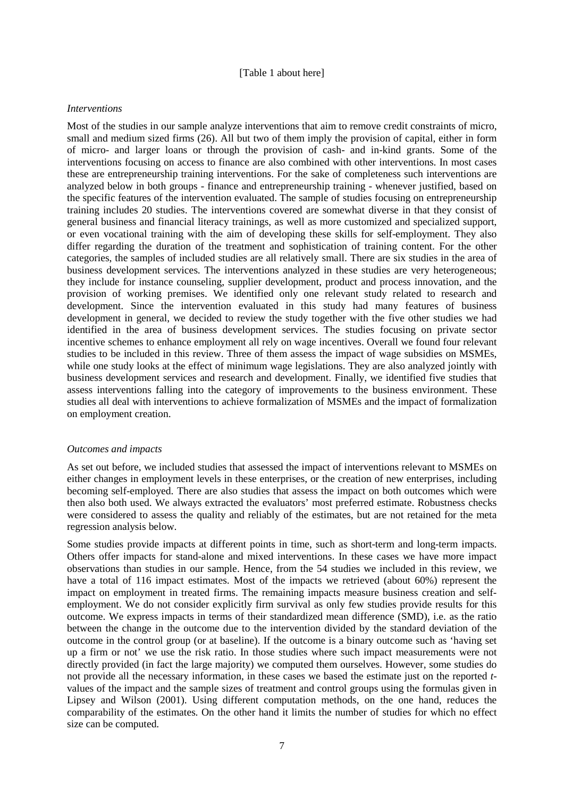#### [Table 1 about here]

#### *Interventions*

Most of the studies in our sample analyze interventions that aim to remove credit constraints of micro, small and medium sized firms (26). All but two of them imply the provision of capital, either in form of micro- and larger loans or through the provision of cash- and in-kind grants. Some of the interventions focusing on access to finance are also combined with other interventions. In most cases these are entrepreneurship training interventions. For the sake of completeness such interventions are analyzed below in both groups - finance and entrepreneurship training - whenever justified, based on the specific features of the intervention evaluated. The sample of studies focusing on entrepreneurship training includes 20 studies. The interventions covered are somewhat diverse in that they consist of general business and financial literacy trainings, as well as more customized and specialized support, or even vocational training with the aim of developing these skills for self-employment. They also differ regarding the duration of the treatment and sophistication of training content. For the other categories, the samples of included studies are all relatively small. There are six studies in the area of business development services. The interventions analyzed in these studies are very heterogeneous; they include for instance counseling, supplier development, product and process innovation, and the provision of working premises. We identified only one relevant study related to research and development. Since the intervention evaluated in this study had many features of business development in general, we decided to review the study together with the five other studies we had identified in the area of business development services. The studies focusing on private sector incentive schemes to enhance employment all rely on wage incentives. Overall we found four relevant studies to be included in this review. Three of them assess the impact of wage subsidies on MSMEs, while one study looks at the effect of minimum wage legislations. They are also analyzed jointly with business development services and research and development. Finally, we identified five studies that assess interventions falling into the category of improvements to the business environment. These studies all deal with interventions to achieve formalization of MSMEs and the impact of formalization on employment creation.

#### *Outcomes and impacts*

As set out before, we included studies that assessed the impact of interventions relevant to MSMEs on either changes in employment levels in these enterprises, or the creation of new enterprises, including becoming self-employed. There are also studies that assess the impact on both outcomes which were then also both used. We always extracted the evaluators' most preferred estimate. Robustness checks were considered to assess the quality and reliably of the estimates, but are not retained for the meta regression analysis below.

Some studies provide impacts at different points in time, such as short-term and long-term impacts. Others offer impacts for stand-alone and mixed interventions. In these cases we have more impact observations than studies in our sample. Hence, from the 54 studies we included in this review, we have a total of 116 impact estimates. Most of the impacts we retrieved (about 60%) represent the impact on employment in treated firms. The remaining impacts measure business creation and selfemployment. We do not consider explicitly firm survival as only few studies provide results for this outcome. We express impacts in terms of their standardized mean difference (SMD), i.e. as the ratio between the change in the outcome due to the intervention divided by the standard deviation of the outcome in the control group (or at baseline). If the outcome is a binary outcome such as 'having set up a firm or not' we use the risk ratio. In those studies where such impact measurements were not directly provided (in fact the large majority) we computed them ourselves. However, some studies do not provide all the necessary information, in these cases we based the estimate just on the reported *t*values of the impact and the sample sizes of treatment and control groups using the formulas given in Lipsey and Wilson (2001). Using different computation methods, on the one hand, reduces the comparability of the estimates. On the other hand it limits the number of studies for which no effect size can be computed.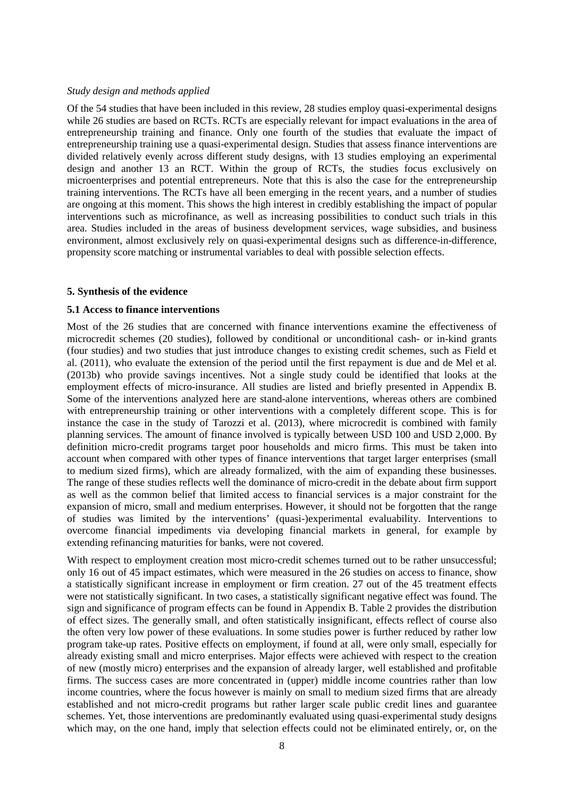#### *Study design and methods applied*

Of the 54 studies that have been included in this review, 28 studies employ quasi-experimental designs while 26 studies are based on RCTs. RCTs are especially relevant for impact evaluations in the area of entrepreneurship training and finance. Only one fourth of the studies that evaluate the impact of entrepreneurship training use a quasi-experimental design. Studies that assess finance interventions are divided relatively evenly across different study designs, with 13 studies employing an experimental design and another 13 an RCT. Within the group of RCTs, the studies focus exclusively on microenterprises and potential entrepreneurs. Note that this is also the case for the entrepreneurship training interventions. The RCTs have all been emerging in the recent years, and a number of studies are ongoing at this moment. This shows the high interest in credibly establishing the impact of popular interventions such as microfinance, as well as increasing possibilities to conduct such trials in this area. Studies included in the areas of business development services, wage subsidies, and business environment, almost exclusively rely on quasi-experimental designs such as difference-in-difference, propensity score matching or instrumental variables to deal with possible selection effects.

#### **5. Synthesis of the evidence**

#### **5.1 Access to finance interventions**

Most of the 26 studies that are concerned with finance interventions examine the effectiveness of microcredit schemes (20 studies), followed by conditional or unconditional cash- or in-kind grants (four studies) and two studies that just introduce changes to existing credit schemes, such as Field et al. (2011), who evaluate the extension of the period until the first repayment is due and de Mel et al. (2013b) who provide savings incentives. Not a single study could be identified that looks at the employment effects of micro-insurance. All studies are listed and briefly presented in Appendix B. Some of the interventions analyzed here are stand-alone interventions, whereas others are combined with entrepreneurship training or other interventions with a completely different scope. This is for instance the case in the study of Tarozzi et al. (2013), where microcredit is combined with family planning services. The amount of finance involved is typically between USD 100 and USD 2,000. By definition micro-credit programs target poor households and micro firms. This must be taken into account when compared with other types of finance interventions that target larger enterprises (small to medium sized firms), which are already formalized, with the aim of expanding these businesses. The range of these studies reflects well the dominance of micro-credit in the debate about firm support as well as the common belief that limited access to financial services is a major constraint for the expansion of micro, small and medium enterprises. However, it should not be forgotten that the range of studies was limited by the interventions' (quasi-)experimental evaluability. Interventions to overcome financial impediments via developing financial markets in general, for example by extending refinancing maturities for banks, were not covered.

With respect to employment creation most micro-credit schemes turned out to be rather unsuccessful; only 16 out of 45 impact estimates, which were measured in the 26 studies on access to finance, show a statistically significant increase in employment or firm creation. 27 out of the 45 treatment effects were not statistically significant. In two cases, a statistically significant negative effect was found. The sign and significance of program effects can be found in Appendix B. Table 2 provides the distribution of effect sizes. The generally small, and often statistically insignificant, effects reflect of course also the often very low power of these evaluations. In some studies power is further reduced by rather low program take-up rates. Positive effects on employment, if found at all, were only small, especially for already existing small and micro enterprises. Major effects were achieved with respect to the creation of new (mostly micro) enterprises and the expansion of already larger, well established and profitable firms. The success cases are more concentrated in (upper) middle income countries rather than low income countries, where the focus however is mainly on small to medium sized firms that are already established and not micro-credit programs but rather larger scale public credit lines and guarantee schemes. Yet, those interventions are predominantly evaluated using quasi-experimental study designs which may, on the one hand, imply that selection effects could not be eliminated entirely, or, on the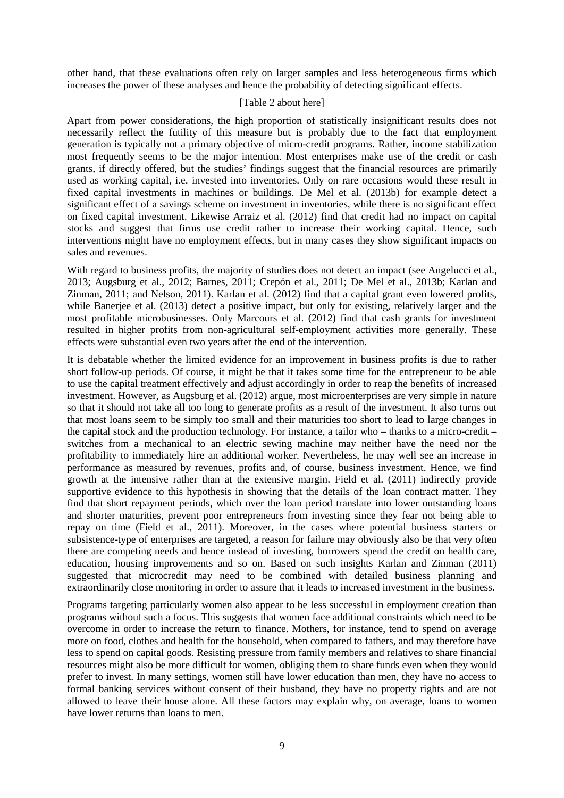other hand, that these evaluations often rely on larger samples and less heterogeneous firms which increases the power of these analyses and hence the probability of detecting significant effects.

#### [Table 2 about here]

Apart from power considerations, the high proportion of statistically insignificant results does not necessarily reflect the futility of this measure but is probably due to the fact that employment generation is typically not a primary objective of micro-credit programs. Rather, income stabilization most frequently seems to be the major intention. Most enterprises make use of the credit or cash grants, if directly offered, but the studies' findings suggest that the financial resources are primarily used as working capital, i.e. invested into inventories. Only on rare occasions would these result in fixed capital investments in machines or buildings. De Mel et al. (2013b) for example detect a significant effect of a savings scheme on investment in inventories, while there is no significant effect on fixed capital investment. Likewise Arraiz et al. (2012) find that credit had no impact on capital stocks and suggest that firms use credit rather to increase their working capital. Hence, such interventions might have no employment effects, but in many cases they show significant impacts on sales and revenues.

With regard to business profits, the majority of studies does not detect an impact (see Angelucci et al., 2013; Augsburg et al., 2012; Barnes, 2011; Crepón et al., 2011; De Mel et al., 2013b; Karlan and Zinman, 2011; and Nelson, 2011). Karlan et al. (2012) find that a capital grant even lowered profits, while Banerjee et al. (2013) detect a positive impact, but only for existing, relatively larger and the most profitable microbusinesses. Only Marcours et al. (2012) find that cash grants for investment resulted in higher profits from non-agricultural self-employment activities more generally. These effects were substantial even two years after the end of the intervention.

It is debatable whether the limited evidence for an improvement in business profits is due to rather short follow-up periods. Of course, it might be that it takes some time for the entrepreneur to be able to use the capital treatment effectively and adjust accordingly in order to reap the benefits of increased investment. However, as Augsburg et al. (2012) argue, most microenterprises are very simple in nature so that it should not take all too long to generate profits as a result of the investment. It also turns out that most loans seem to be simply too small and their maturities too short to lead to large changes in the capital stock and the production technology. For instance, a tailor who – thanks to a micro-credit – switches from a mechanical to an electric sewing machine may neither have the need nor the profitability to immediately hire an additional worker. Nevertheless, he may well see an increase in performance as measured by revenues, profits and, of course, business investment. Hence, we find growth at the intensive rather than at the extensive margin. Field et al. (2011) indirectly provide supportive evidence to this hypothesis in showing that the details of the loan contract matter. They find that short repayment periods, which over the loan period translate into lower outstanding loans and shorter maturities, prevent poor entrepreneurs from investing since they fear not being able to repay on time (Field et al., 2011). Moreover, in the cases where potential business starters or subsistence-type of enterprises are targeted, a reason for failure may obviously also be that very often there are competing needs and hence instead of investing, borrowers spend the credit on health care, education, housing improvements and so on. Based on such insights Karlan and Zinman (2011) suggested that microcredit may need to be combined with detailed business planning and extraordinarily close monitoring in order to assure that it leads to increased investment in the business.

Programs targeting particularly women also appear to be less successful in employment creation than programs without such a focus. This suggests that women face additional constraints which need to be overcome in order to increase the return to finance. Mothers, for instance, tend to spend on average more on food, clothes and health for the household, when compared to fathers, and may therefore have less to spend on capital goods. Resisting pressure from family members and relatives to share financial resources might also be more difficult for women, obliging them to share funds even when they would prefer to invest. In many settings, women still have lower education than men, they have no access to formal banking services without consent of their husband, they have no property rights and are not allowed to leave their house alone. All these factors may explain why, on average, loans to women have lower returns than loans to men.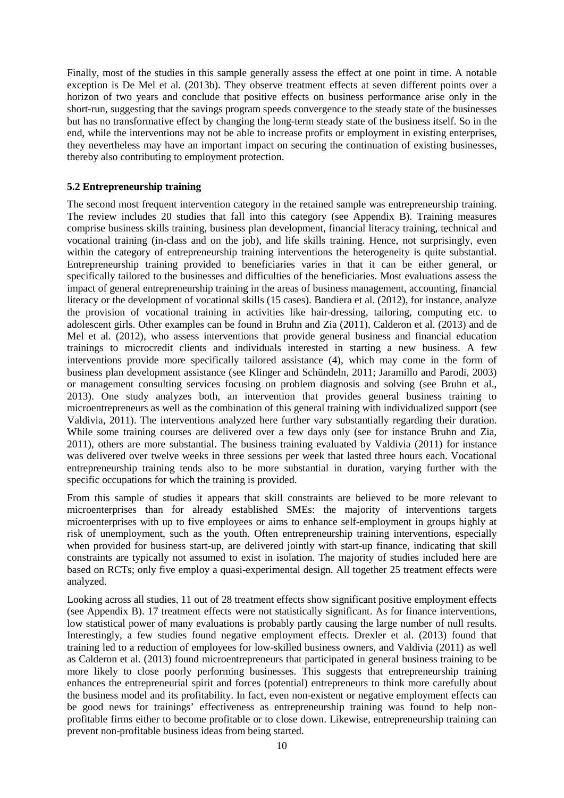Finally, most of the studies in this sample generally assess the effect at one point in time. A notable exception is De Mel et al. (2013b). They observe treatment effects at seven different points over a horizon of two years and conclude that positive effects on business performance arise only in the short-run, suggesting that the savings program speeds convergence to the steady state of the businesses but has no transformative effect by changing the long-term steady state of the business itself. So in the end, while the interventions may not be able to increase profits or employment in existing enterprises, they nevertheless may have an important impact on securing the continuation of existing businesses, thereby also contributing to employment protection.

#### **5.2 Entrepreneurship training**

The second most frequent intervention category in the retained sample was entrepreneurship training. The review includes 20 studies that fall into this category (see Appendix B). Training measures comprise business skills training, business plan development, financial literacy training, technical and vocational training (in-class and on the job), and life skills training. Hence, not surprisingly, even within the category of entrepreneurship training interventions the heterogeneity is quite substantial. Entrepreneurship training provided to beneficiaries varies in that it can be either general, or specifically tailored to the businesses and difficulties of the beneficiaries. Most evaluations assess the impact of general entrepreneurship training in the areas of business management, accounting, financial literacy or the development of vocational skills (15 cases). Bandiera et al. (2012), for instance, analyze the provision of vocational training in activities like hair-dressing, tailoring, computing etc. to adolescent girls. Other examples can be found in Bruhn and Zia (2011), Calderon et al. (2013) and de Mel et al. (2012), who assess interventions that provide general business and financial education trainings to microcredit clients and individuals interested in starting a new business. A few interventions provide more specifically tailored assistance (4), which may come in the form of business plan development assistance (see Klinger and Schündeln, 2011; Jaramillo and Parodi, 2003) or management consulting services focusing on problem diagnosis and solving (see Bruhn et al., 2013). One study analyzes both, an intervention that provides general business training to microentrepreneurs as well as the combination of this general training with individualized support (see Valdivia, 2011). The interventions analyzed here further vary substantially regarding their duration. While some training courses are delivered over a few days only (see for instance Bruhn and Zia, 2011), others are more substantial. The business training evaluated by Valdivia (2011) for instance was delivered over twelve weeks in three sessions per week that lasted three hours each. Vocational entrepreneurship training tends also to be more substantial in duration, varying further with the specific occupations for which the training is provided.

From this sample of studies it appears that skill constraints are believed to be more relevant to microenterprises than for already established SMEs: the majority of interventions targets microenterprises with up to five employees or aims to enhance self-employment in groups highly at risk of unemployment, such as the youth. Often entrepreneurship training interventions, especially when provided for business start-up, are delivered jointly with start-up finance, indicating that skill constraints are typically not assumed to exist in isolation. The majority of studies included here are based on RCTs; only five employ a quasi-experimental design. All together 25 treatment effects were analyzed.

Looking across all studies, 11 out of 28 treatment effects show significant positive employment effects (see Appendix B). 17 treatment effects were not statistically significant. As for finance interventions, low statistical power of many evaluations is probably partly causing the large number of null results. Interestingly, a few studies found negative employment effects. Drexler et al. (2013) found that training led to a reduction of employees for low-skilled business owners, and Valdivia (2011) as well as Calderon et al. (2013) found microentrepreneurs that participated in general business training to be more likely to close poorly performing businesses. This suggests that entrepreneurship training enhances the entrepreneurial spirit and forces (potential) entrepreneurs to think more carefully about the business model and its profitability. In fact, even non-existent or negative employment effects can be good news for trainings' effectiveness as entrepreneurship training was found to help nonprofitable firms either to become profitable or to close down. Likewise, entrepreneurship training can prevent non-profitable business ideas from being started.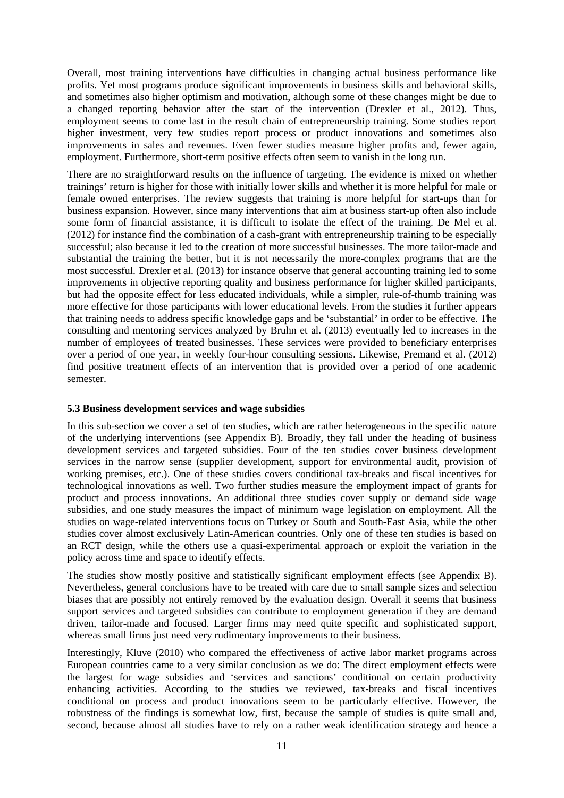Overall, most training interventions have difficulties in changing actual business performance like profits. Yet most programs produce significant improvements in business skills and behavioral skills, and sometimes also higher optimism and motivation, although some of these changes might be due to a changed reporting behavior after the start of the intervention (Drexler et al., 2012). Thus, employment seems to come last in the result chain of entrepreneurship training. Some studies report higher investment, very few studies report process or product innovations and sometimes also improvements in sales and revenues. Even fewer studies measure higher profits and, fewer again, employment. Furthermore, short-term positive effects often seem to vanish in the long run.

There are no straightforward results on the influence of targeting. The evidence is mixed on whether trainings' return is higher for those with initially lower skills and whether it is more helpful for male or female owned enterprises. The review suggests that training is more helpful for start-ups than for business expansion. However, since many interventions that aim at business start-up often also include some form of financial assistance, it is difficult to isolate the effect of the training. De Mel et al. (2012) for instance find the combination of a cash-grant with entrepreneurship training to be especially successful; also because it led to the creation of more successful businesses. The more tailor-made and substantial the training the better, but it is not necessarily the more-complex programs that are the most successful. Drexler et al. (2013) for instance observe that general accounting training led to some improvements in objective reporting quality and business performance for higher skilled participants, but had the opposite effect for less educated individuals, while a simpler, rule-of-thumb training was more effective for those participants with lower educational levels. From the studies it further appears that training needs to address specific knowledge gaps and be 'substantial' in order to be effective. The consulting and mentoring services analyzed by Bruhn et al. (2013) eventually led to increases in the number of employees of treated businesses. These services were provided to beneficiary enterprises over a period of one year, in weekly four-hour consulting sessions. Likewise, Premand et al. (2012) find positive treatment effects of an intervention that is provided over a period of one academic semester.

#### **5.3 Business development services and wage subsidies**

In this sub-section we cover a set of ten studies, which are rather heterogeneous in the specific nature of the underlying interventions (see Appendix B). Broadly, they fall under the heading of business development services and targeted subsidies. Four of the ten studies cover business development services in the narrow sense (supplier development, support for environmental audit, provision of working premises, etc.). One of these studies covers conditional tax-breaks and fiscal incentives for technological innovations as well. Two further studies measure the employment impact of grants for product and process innovations. An additional three studies cover supply or demand side wage subsidies, and one study measures the impact of minimum wage legislation on employment. All the studies on wage-related interventions focus on Turkey or South and South-East Asia, while the other studies cover almost exclusively Latin-American countries. Only one of these ten studies is based on an RCT design, while the others use a quasi-experimental approach or exploit the variation in the policy across time and space to identify effects.

The studies show mostly positive and statistically significant employment effects (see Appendix B). Nevertheless, general conclusions have to be treated with care due to small sample sizes and selection biases that are possibly not entirely removed by the evaluation design. Overall it seems that business support services and targeted subsidies can contribute to employment generation if they are demand driven, tailor-made and focused. Larger firms may need quite specific and sophisticated support, whereas small firms just need very rudimentary improvements to their business.

Interestingly, Kluve (2010) who compared the effectiveness of active labor market programs across European countries came to a very similar conclusion as we do: The direct employment effects were the largest for wage subsidies and 'services and sanctions' conditional on certain productivity enhancing activities. According to the studies we reviewed, tax-breaks and fiscal incentives conditional on process and product innovations seem to be particularly effective. However, the robustness of the findings is somewhat low, first, because the sample of studies is quite small and, second, because almost all studies have to rely on a rather weak identification strategy and hence a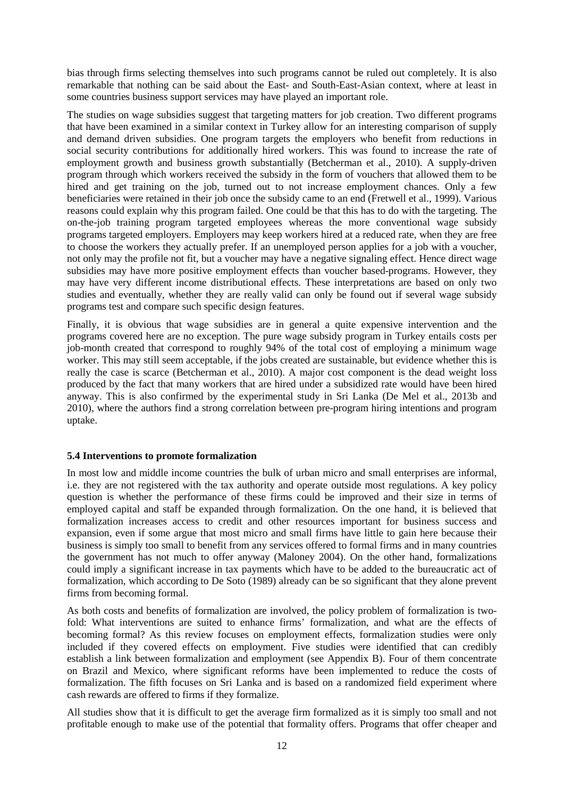bias through firms selecting themselves into such programs cannot be ruled out completely. It is also remarkable that nothing can be said about the East- and South-East-Asian context, where at least in some countries business support services may have played an important role.

The studies on wage subsidies suggest that targeting matters for job creation. Two different programs that have been examined in a similar context in Turkey allow for an interesting comparison of supply and demand driven subsidies. One program targets the employers who benefit from reductions in social security contributions for additionally hired workers. This was found to increase the rate of employment growth and business growth substantially (Betcherman et al., 2010). A supply-driven program through which workers received the subsidy in the form of vouchers that allowed them to be hired and get training on the job, turned out to not increase employment chances. Only a few beneficiaries were retained in their job once the subsidy came to an end (Fretwell et al., 1999). Various reasons could explain why this program failed. One could be that this has to do with the targeting. The on-the-job training program targeted employees whereas the more conventional wage subsidy programs targeted employers. Employers may keep workers hired at a reduced rate, when they are free to choose the workers they actually prefer. If an unemployed person applies for a job with a voucher, not only may the profile not fit, but a voucher may have a negative signaling effect. Hence direct wage subsidies may have more positive employment effects than voucher based-programs. However, they may have very different income distributional effects. These interpretations are based on only two studies and eventually, whether they are really valid can only be found out if several wage subsidy programs test and compare such specific design features.

Finally, it is obvious that wage subsidies are in general a quite expensive intervention and the programs covered here are no exception. The pure wage subsidy program in Turkey entails costs per job-month created that correspond to roughly 94% of the total cost of employing a minimum wage worker. This may still seem acceptable, if the jobs created are sustainable, but evidence whether this is really the case is scarce (Betcherman et al., 2010). A major cost component is the dead weight loss produced by the fact that many workers that are hired under a subsidized rate would have been hired anyway. This is also confirmed by the experimental study in Sri Lanka (De Mel et al., 2013b and 2010), where the authors find a strong correlation between pre-program hiring intentions and program uptake.

#### **5.4 Interventions to promote formalization**

In most low and middle income countries the bulk of urban micro and small enterprises are informal, i.e. they are not registered with the tax authority and operate outside most regulations. A key policy question is whether the performance of these firms could be improved and their size in terms of employed capital and staff be expanded through formalization. On the one hand, it is believed that formalization increases access to credit and other resources important for business success and expansion, even if some argue that most micro and small firms have little to gain here because their business is simply too small to benefit from any services offered to formal firms and in many countries the government has not much to offer anyway (Maloney 2004). On the other hand, formalizations could imply a significant increase in tax payments which have to be added to the bureaucratic act of formalization, which according to De Soto (1989) already can be so significant that they alone prevent firms from becoming formal.

As both costs and benefits of formalization are involved, the policy problem of formalization is twofold: What interventions are suited to enhance firms' formalization, and what are the effects of becoming formal? As this review focuses on employment effects, formalization studies were only included if they covered effects on employment. Five studies were identified that can credibly establish a link between formalization and employment (see Appendix B). Four of them concentrate on Brazil and Mexico, where significant reforms have been implemented to reduce the costs of formalization. The fifth focuses on Sri Lanka and is based on a randomized field experiment where cash rewards are offered to firms if they formalize.

All studies show that it is difficult to get the average firm formalized as it is simply too small and not profitable enough to make use of the potential that formality offers. Programs that offer cheaper and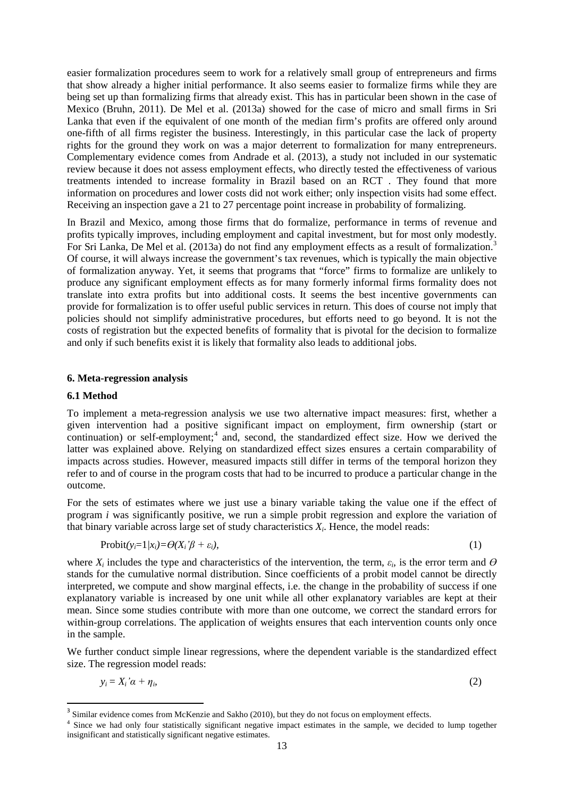easier formalization procedures seem to work for a relatively small group of entrepreneurs and firms that show already a higher initial performance. It also seems easier to formalize firms while they are being set up than formalizing firms that already exist. This has in particular been shown in the case of Mexico (Bruhn, 2011). De Mel et al. (2013a) showed for the case of micro and small firms in Sri Lanka that even if the equivalent of one month of the median firm's profits are offered only around one-fifth of all firms register the business. Interestingly, in this particular case the lack of property rights for the ground they work on was a major deterrent to formalization for many entrepreneurs. Complementary evidence comes from Andrade et al. (2013), a study not included in our systematic review because it does not assess employment effects, who directly tested the effectiveness of various treatments intended to increase formality in Brazil based on an RCT . They found that more information on procedures and lower costs did not work either; only inspection visits had some effect. Receiving an inspection gave a 21 to 27 percentage point increase in probability of formalizing.

In Brazil and Mexico, among those firms that do formalize, performance in terms of revenue and profits typically improves, including employment and capital investment, but for most only modestly. For Sri Lanka, De Mel et al. (201[3](#page-7-0)a) do not find any employment effects as a result of formalization.<sup>3</sup> Of course, it will always increase the government's tax revenues, which is typically the main objective of formalization anyway. Yet, it seems that programs that "force" firms to formalize are unlikely to produce any significant employment effects as for many formerly informal firms formality does not translate into extra profits but into additional costs. It seems the best incentive governments can provide for formalization is to offer useful public services in return. This does of course not imply that policies should not simplify administrative procedures, but efforts need to go beyond. It is not the costs of registration but the expected benefits of formality that is pivotal for the decision to formalize and only if such benefits exist it is likely that formality also leads to additional jobs.

#### **6. Meta-regression analysis**

#### **6.1 Method**

To implement a meta-regression analysis we use two alternative impact measures: first, whether a given intervention had a positive significant impact on employment, firm ownership (start or continuation) or self-employment;<sup>[4](#page-14-0)</sup> and, second, the standardized effect size. How we derived the latter was explained above. Relying on standardized effect sizes ensures a certain comparability of impacts across studies. However, measured impacts still differ in terms of the temporal horizon they refer to and of course in the program costs that had to be incurred to produce a particular change in the outcome.

For the sets of estimates where we just use a binary variable taking the value one if the effect of program *i* was significantly positive, we run a simple probit regression and explore the variation of that binary variable across large set of study characteristics *Xi*. Hence, the model reads:

$$
Probability_i = 1/x_i = \Theta(X_i'\beta + \varepsilon_i),\tag{1}
$$

$$
(1)
$$

where  $X_i$  includes the type and characteristics of the intervention, the term,  $\varepsilon_i$  is the error term and  $\Theta$ stands for the cumulative normal distribution. Since coefficients of a probit model cannot be directly interpreted, we compute and show marginal effects, i.e. the change in the probability of success if one explanatory variable is increased by one unit while all other explanatory variables are kept at their mean. Since some studies contribute with more than one outcome, we correct the standard errors for within-group correlations. The application of weights ensures that each intervention counts only once in the sample.

We further conduct simple linear regressions, where the dependent variable is the standardized effect size. The regression model reads:

$$
y_i = X_i' \alpha + \eta_i \tag{2}
$$

<sup>&</sup>lt;sup>3</sup> Similar evidence comes from McKenzie and Sakho (2010), but they do not focus on employment effects.

<span id="page-14-0"></span><sup>&</sup>lt;sup>4</sup> Since we had only four statistically significant negative impact estimates in the sample, we decided to lump together insignificant and statistically significant negative estimates.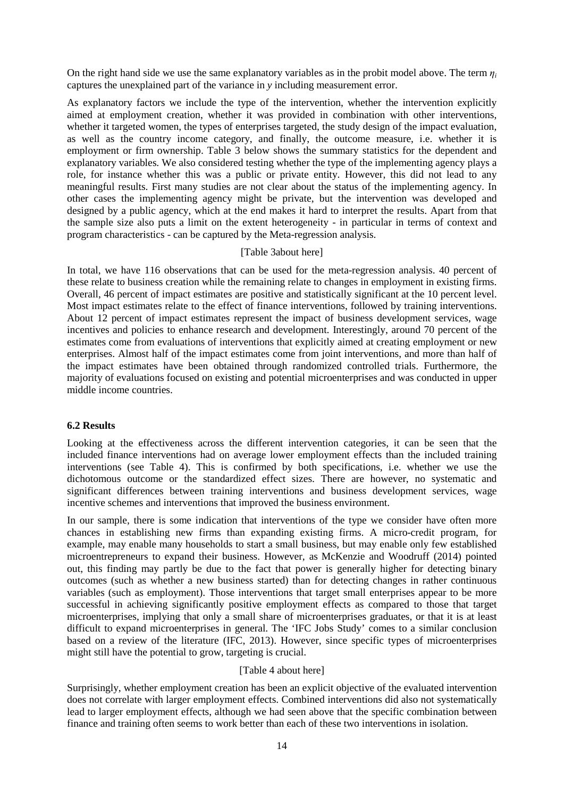On the right hand side we use the same explanatory variables as in the probit model above. The term  $\eta_i$ captures the unexplained part of the variance in *y* including measurement error.

As explanatory factors we include the type of the intervention, whether the intervention explicitly aimed at employment creation, whether it was provided in combination with other interventions, whether it targeted women, the types of enterprises targeted, the study design of the impact evaluation, as well as the country income category, and finally, the outcome measure, i.e. whether it is employment or firm ownership. Table 3 below shows the summary statistics for the dependent and explanatory variables. We also considered testing whether the type of the implementing agency plays a role, for instance whether this was a public or private entity. However, this did not lead to any meaningful results. First many studies are not clear about the status of the implementing agency. In other cases the implementing agency might be private, but the intervention was developed and designed by a public agency, which at the end makes it hard to interpret the results. Apart from that the sample size also puts a limit on the extent heterogeneity - in particular in terms of context and program characteristics - can be captured by the Meta-regression analysis.

#### [Table 3about here]

In total, we have 116 observations that can be used for the meta-regression analysis. 40 percent of these relate to business creation while the remaining relate to changes in employment in existing firms. Overall, 46 percent of impact estimates are positive and statistically significant at the 10 percent level. Most impact estimates relate to the effect of finance interventions, followed by training interventions. About 12 percent of impact estimates represent the impact of business development services, wage incentives and policies to enhance research and development. Interestingly, around 70 percent of the estimates come from evaluations of interventions that explicitly aimed at creating employment or new enterprises. Almost half of the impact estimates come from joint interventions, and more than half of the impact estimates have been obtained through randomized controlled trials. Furthermore, the majority of evaluations focused on existing and potential microenterprises and was conducted in upper middle income countries.

#### **6.2 Results**

Looking at the effectiveness across the different intervention categories, it can be seen that the included finance interventions had on average lower employment effects than the included training interventions (see Table 4). This is confirmed by both specifications, i.e. whether we use the dichotomous outcome or the standardized effect sizes. There are however, no systematic and significant differences between training interventions and business development services, wage incentive schemes and interventions that improved the business environment.

In our sample, there is some indication that interventions of the type we consider have often more chances in establishing new firms than expanding existing firms. A micro-credit program, for example, may enable many households to start a small business, but may enable only few established microentrepreneurs to expand their business. However, as McKenzie and Woodruff (2014) pointed out, this finding may partly be due to the fact that power is generally higher for detecting binary outcomes (such as whether a new business started) than for detecting changes in rather continuous variables (such as employment). Those interventions that target small enterprises appear to be more successful in achieving significantly positive employment effects as compared to those that target microenterprises, implying that only a small share of microenterprises graduates, or that it is at least difficult to expand microenterprises in general. The 'IFC Jobs Study' comes to a similar conclusion based on a review of the literature (IFC, 2013). However, since specific types of microenterprises might still have the potential to grow, targeting is crucial.

#### [Table 4 about here]

Surprisingly, whether employment creation has been an explicit objective of the evaluated intervention does not correlate with larger employment effects. Combined interventions did also not systematically lead to larger employment effects, although we had seen above that the specific combination between finance and training often seems to work better than each of these two interventions in isolation.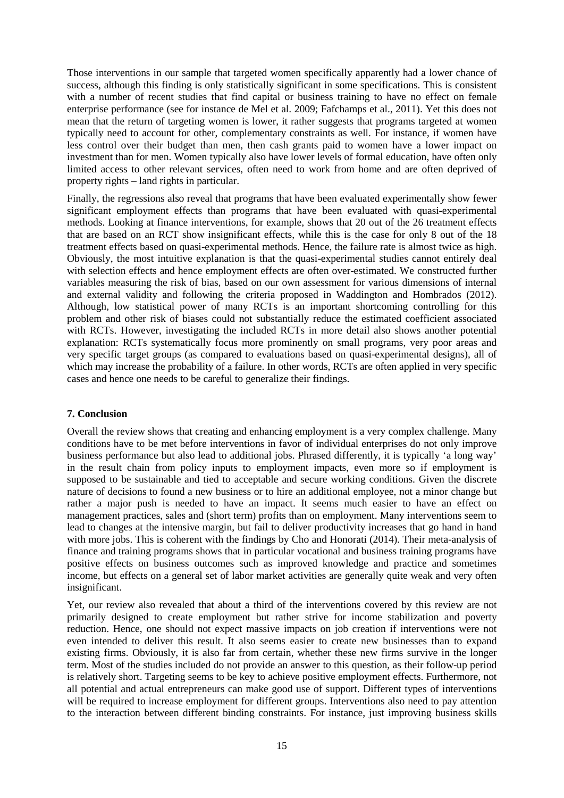Those interventions in our sample that targeted women specifically apparently had a lower chance of success, although this finding is only statistically significant in some specifications. This is consistent with a number of recent studies that find capital or business training to have no effect on female enterprise performance (see for instance de Mel et al. 2009; Fafchamps et al., 2011). Yet this does not mean that the return of targeting women is lower, it rather suggests that programs targeted at women typically need to account for other, complementary constraints as well. For instance, if women have less control over their budget than men, then cash grants paid to women have a lower impact on investment than for men. Women typically also have lower levels of formal education, have often only limited access to other relevant services, often need to work from home and are often deprived of property rights – land rights in particular.

Finally, the regressions also reveal that programs that have been evaluated experimentally show fewer significant employment effects than programs that have been evaluated with quasi-experimental methods. Looking at finance interventions, for example, shows that 20 out of the 26 treatment effects that are based on an RCT show insignificant effects, while this is the case for only 8 out of the 18 treatment effects based on quasi-experimental methods. Hence, the failure rate is almost twice as high. Obviously, the most intuitive explanation is that the quasi-experimental studies cannot entirely deal with selection effects and hence employment effects are often over-estimated. We constructed further variables measuring the risk of bias, based on our own assessment for various dimensions of internal and external validity and following the criteria proposed in Waddington and Hombrados (2012). Although, low statistical power of many RCTs is an important shortcoming controlling for this problem and other risk of biases could not substantially reduce the estimated coefficient associated with RCTs. However, investigating the included RCTs in more detail also shows another potential explanation: RCTs systematically focus more prominently on small programs, very poor areas and very specific target groups (as compared to evaluations based on quasi-experimental designs), all of which may increase the probability of a failure. In other words, RCTs are often applied in very specific cases and hence one needs to be careful to generalize their findings.

#### **7. Conclusion**

Overall the review shows that creating and enhancing employment is a very complex challenge. Many conditions have to be met before interventions in favor of individual enterprises do not only improve business performance but also lead to additional jobs. Phrased differently, it is typically 'a long way' in the result chain from policy inputs to employment impacts, even more so if employment is supposed to be sustainable and tied to acceptable and secure working conditions. Given the discrete nature of decisions to found a new business or to hire an additional employee, not a minor change but rather a major push is needed to have an impact. It seems much easier to have an effect on management practices, sales and (short term) profits than on employment. Many interventions seem to lead to changes at the intensive margin, but fail to deliver productivity increases that go hand in hand with more jobs. This is coherent with the findings by Cho and Honorati (2014). Their meta-analysis of finance and training programs shows that in particular vocational and business training programs have positive effects on business outcomes such as improved knowledge and practice and sometimes income, but effects on a general set of labor market activities are generally quite weak and very often insignificant.

Yet, our review also revealed that about a third of the interventions covered by this review are not primarily designed to create employment but rather strive for income stabilization and poverty reduction. Hence, one should not expect massive impacts on job creation if interventions were not even intended to deliver this result. It also seems easier to create new businesses than to expand existing firms. Obviously, it is also far from certain, whether these new firms survive in the longer term. Most of the studies included do not provide an answer to this question, as their follow-up period is relatively short. Targeting seems to be key to achieve positive employment effects. Furthermore, not all potential and actual entrepreneurs can make good use of support. Different types of interventions will be required to increase employment for different groups. Interventions also need to pay attention to the interaction between different binding constraints. For instance, just improving business skills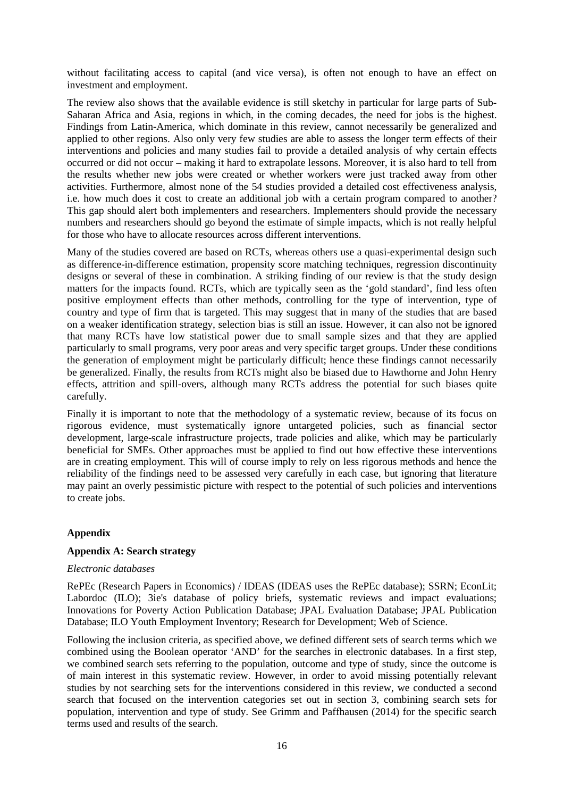without facilitating access to capital (and vice versa), is often not enough to have an effect on investment and employment.

The review also shows that the available evidence is still sketchy in particular for large parts of Sub-Saharan Africa and Asia, regions in which, in the coming decades, the need for jobs is the highest. Findings from Latin-America, which dominate in this review, cannot necessarily be generalized and applied to other regions. Also only very few studies are able to assess the longer term effects of their interventions and policies and many studies fail to provide a detailed analysis of why certain effects occurred or did not occur – making it hard to extrapolate lessons. Moreover, it is also hard to tell from the results whether new jobs were created or whether workers were just tracked away from other activities. Furthermore, almost none of the 54 studies provided a detailed cost effectiveness analysis, i.e. how much does it cost to create an additional job with a certain program compared to another? This gap should alert both implementers and researchers. Implementers should provide the necessary numbers and researchers should go beyond the estimate of simple impacts, which is not really helpful for those who have to allocate resources across different interventions.

Many of the studies covered are based on RCTs, whereas others use a quasi-experimental design such as difference-in-difference estimation, propensity score matching techniques, regression discontinuity designs or several of these in combination. A striking finding of our review is that the study design matters for the impacts found. RCTs, which are typically seen as the 'gold standard', find less often positive employment effects than other methods, controlling for the type of intervention, type of country and type of firm that is targeted. This may suggest that in many of the studies that are based on a weaker identification strategy, selection bias is still an issue. However, it can also not be ignored that many RCTs have low statistical power due to small sample sizes and that they are applied particularly to small programs, very poor areas and very specific target groups. Under these conditions the generation of employment might be particularly difficult; hence these findings cannot necessarily be generalized. Finally, the results from RCTs might also be biased due to Hawthorne and John Henry effects, attrition and spill-overs, although many RCTs address the potential for such biases quite carefully.

Finally it is important to note that the methodology of a systematic review, because of its focus on rigorous evidence, must systematically ignore untargeted policies, such as financial sector development, large-scale infrastructure projects, trade policies and alike, which may be particularly beneficial for SMEs. Other approaches must be applied to find out how effective these interventions are in creating employment. This will of course imply to rely on less rigorous methods and hence the reliability of the findings need to be assessed very carefully in each case, but ignoring that literature may paint an overly pessimistic picture with respect to the potential of such policies and interventions to create jobs.

#### **Appendix**

#### **Appendix A: Search strategy**

#### *Electronic databases*

RePEc (Research Papers in Economics) / IDEAS (IDEAS uses the RePEc database); SSRN; EconLit; Labordoc (ILO); 3ie's database of policy briefs, systematic reviews and impact evaluations; Innovations for Poverty Action Publication Database; JPAL Evaluation Database; JPAL Publication Database; ILO Youth Employment Inventory; Research for Development; Web of Science.

Following the inclusion criteria, as specified above, we defined different sets of search terms which we combined using the Boolean operator 'AND' for the searches in electronic databases. In a first step, we combined search sets referring to the population, outcome and type of study, since the outcome is of main interest in this systematic review. However, in order to avoid missing potentially relevant studies by not searching sets for the interventions considered in this review, we conducted a second search that focused on the intervention categories set out in section 3, combining search sets for population, intervention and type of study. See Grimm and Paffhausen (2014) for the specific search terms used and results of the search.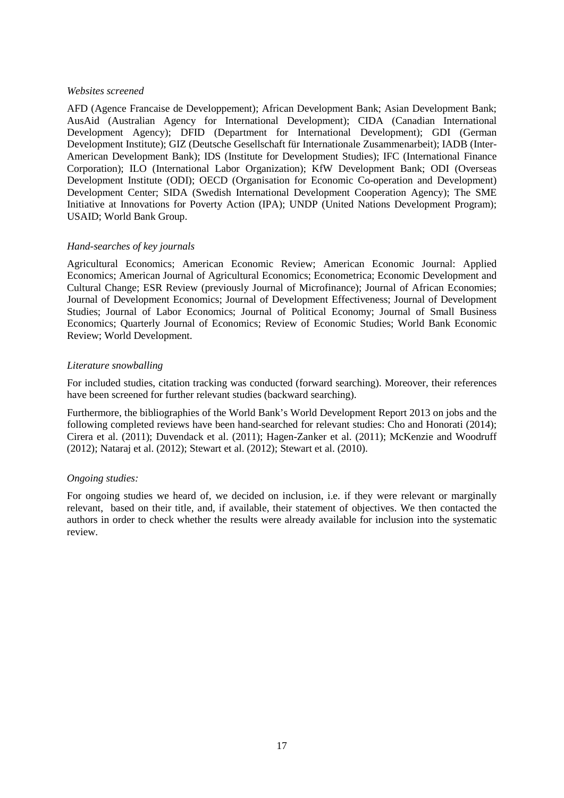#### *Websites screened*

AFD (Agence Francaise de Developpement); African Development Bank; Asian Development Bank; AusAid (Australian Agency for International Development); CIDA (Canadian International Development Agency); DFID (Department for International Development); GDI (German Development Institute); GIZ (Deutsche Gesellschaft für Internationale Zusammenarbeit); IADB (Inter-American Development Bank); IDS (Institute for Development Studies); IFC (International Finance Corporation); ILO (International Labor Organization); KfW Development Bank; ODI (Overseas Development Institute (ODI); OECD (Organisation for Economic Co-operation and Development) Development Center; SIDA (Swedish International Development Cooperation Agency); The SME Initiative at Innovations for Poverty Action (IPA); UNDP (United Nations Development Program); USAID; World Bank Group.

#### *Hand-searches of key journals*

Agricultural Economics; American Economic Review; American Economic Journal: Applied Economics; American Journal of Agricultural Economics; Econometrica; Economic Development and Cultural Change; ESR Review (previously Journal of Microfinance); Journal of African Economies; Journal of Development Economics; Journal of Development Effectiveness; Journal of Development Studies; Journal of Labor Economics; Journal of Political Economy; Journal of Small Business Economics; Quarterly Journal of Economics; Review of Economic Studies; World Bank Economic Review; World Development.

#### *Literature snowballing*

For included studies, citation tracking was conducted (forward searching). Moreover, their references have been screened for further relevant studies (backward searching).

Furthermore, the bibliographies of the World Bank's World Development Report 2013 on jobs and the following completed reviews have been hand-searched for relevant studies: Cho and Honorati (2014); Cirera et al. (2011); Duvendack et al. (2011); Hagen-Zanker et al. (2011); McKenzie and Woodruff (2012); Nataraj et al. (2012); Stewart et al. (2012); Stewart et al. (2010).

#### *Ongoing studies:*

For ongoing studies we heard of, we decided on inclusion, i.e. if they were relevant or marginally relevant, based on their title, and, if available, their statement of objectives. We then contacted the authors in order to check whether the results were already available for inclusion into the systematic review.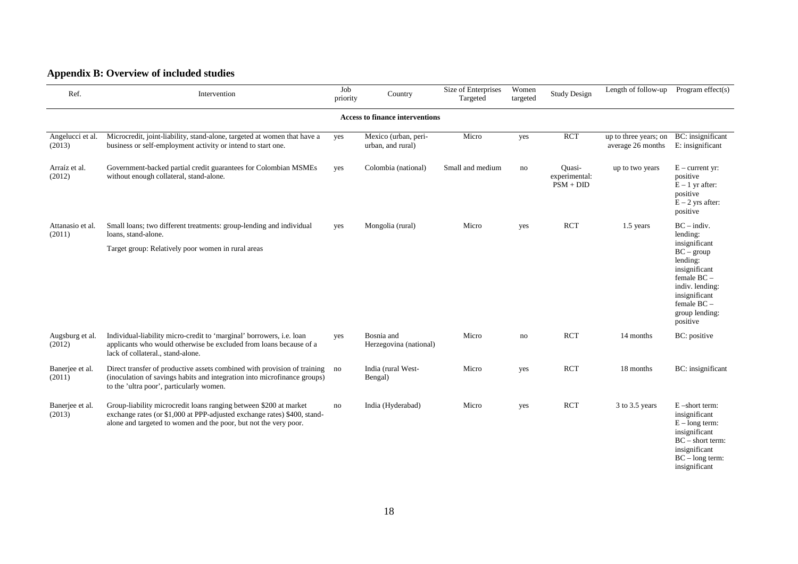### **Appendix B: Overview of included studies**

| Ref.                       | Intervention                                                                                                                                                                                                      | Job<br>priority | Country                                   | Size of Enterprises<br>Targeted | Women<br>targeted | <b>Study Design</b>                    | Length of follow-up                        | Program effect(s)                                                                                                                                           |
|----------------------------|-------------------------------------------------------------------------------------------------------------------------------------------------------------------------------------------------------------------|-----------------|-------------------------------------------|---------------------------------|-------------------|----------------------------------------|--------------------------------------------|-------------------------------------------------------------------------------------------------------------------------------------------------------------|
|                            |                                                                                                                                                                                                                   |                 | <b>Access to finance interventions</b>    |                                 |                   |                                        |                                            |                                                                                                                                                             |
| Angelucci et al.<br>(2013) | Microcredit, joint-liability, stand-alone, targeted at women that have a<br>business or self-employment activity or intend to start one.                                                                          | yes             | Mexico (urban, peri-<br>urban, and rural) | Micro                           | yes               | <b>RCT</b>                             | up to three years; on<br>average 26 months | <b>BC</b> : insignificant<br>E: insignificant                                                                                                               |
| Arraíz et al.<br>(2012)    | Government-backed partial credit guarantees for Colombian MSMEs<br>without enough collateral, stand-alone.                                                                                                        | yes             | Colombia (national)                       | Small and medium                | no                | Quasi-<br>experimental:<br>$PSM + DID$ | up to two years                            | $E$ – current yr:<br>positive<br>$E - 1$ yr after:<br>positive<br>$E - 2$ yrs after:<br>positive                                                            |
| Attanasio et al.<br>(2011) | Small loans; two different treatments: group-lending and individual<br>loans, stand-alone.                                                                                                                        | yes             | Mongolia (rural)                          | Micro                           | yes               | <b>RCT</b>                             | 1.5 years                                  | $BC - indiv.$<br>lending:                                                                                                                                   |
|                            | Target group: Relatively poor women in rural areas                                                                                                                                                                |                 |                                           |                                 |                   |                                        |                                            | insignificant<br>$BC - group$<br>lending:<br>insignificant<br>female $BC -$<br>indiv. lending:<br>insignificant<br>female BC-<br>group lending:<br>positive |
| Augsburg et al.<br>(2012)  | Individual-liability micro-credit to 'marginal' borrowers, i.e. loan<br>applicants who would otherwise be excluded from loans because of a<br>lack of collateral., stand-alone.                                   | yes             | Bosnia and<br>Herzegovina (national)      | Micro                           | no                | <b>RCT</b>                             | 14 months                                  | BC: positive                                                                                                                                                |
| Banerjee et al.<br>(2011)  | Direct transfer of productive assets combined with provision of training<br>(inoculation of savings habits and integration into microfinance groups)<br>to the 'ultra poor', particularly women.                  | no              | India (rural West-<br>Bengal)             | Micro                           | yes               | <b>RCT</b>                             | 18 months                                  | BC: insignificant                                                                                                                                           |
| Banerjee et al.<br>(2013)  | Group-liability microcredit loans ranging between \$200 at market<br>exchange rates (or \$1,000 at PPP-adjusted exchange rates) \$400, stand-<br>alone and targeted to women and the poor, but not the very poor. | no              | India (Hyderabad)                         | Micro                           | yes               | <b>RCT</b>                             | $3$ to $3.5$ years                         | $E$ -short term:<br>insignificant<br>$E - long$ term:<br>insignificant<br>$BC - short term$ :<br>insignificant<br>$BC - long term$ :<br>insignificant       |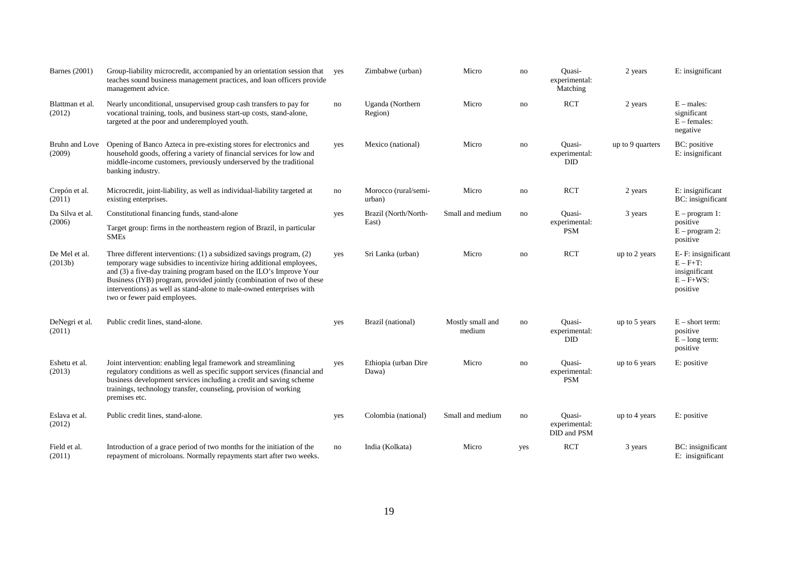| Barnes (2001)             | Group-liability microcredit, accompanied by an orientation session that<br>teaches sound business management practices, and loan officers provide<br>management advice.                                                                                                                                                                                                                              | yes | Zimbabwe (urban)               | Micro                      | no  | Ouasi-<br>experimental:<br>Matching    | 2 years          | E: insignificant                                                                   |
|---------------------------|------------------------------------------------------------------------------------------------------------------------------------------------------------------------------------------------------------------------------------------------------------------------------------------------------------------------------------------------------------------------------------------------------|-----|--------------------------------|----------------------------|-----|----------------------------------------|------------------|------------------------------------------------------------------------------------|
| Blattman et al.<br>(2012) | Nearly unconditional, unsupervised group cash transfers to pay for<br>vocational training, tools, and business start-up costs, stand-alone,<br>targeted at the poor and underemployed youth.                                                                                                                                                                                                         | no  | Uganda (Northern<br>Region)    | Micro                      | no  | RCT                                    | 2 years          | $E$ – males:<br>significant<br>$E$ – females:<br>negative                          |
| Bruhn and Love<br>(2009)  | Opening of Banco Azteca in pre-existing stores for electronics and<br>household goods, offering a variety of financial services for low and<br>middle-income customers, previously underserved by the traditional<br>banking industry.                                                                                                                                                               | yes | Mexico (national)              | Micro                      | no  | Ouasi-<br>experimental:<br>DID         | up to 9 quarters | BC: positive<br>E: insignificant                                                   |
| Crepón et al.<br>(2011)   | Microcredit, joint-liability, as well as individual-liability targeted at<br>existing enterprises.                                                                                                                                                                                                                                                                                                   | no  | Morocco (rural/semi-<br>urban) | Micro                      | no  | <b>RCT</b>                             | 2 years          | E: insignificant<br>BC: insignificant                                              |
| Da Silva et al.           | Constitutional financing funds, stand-alone                                                                                                                                                                                                                                                                                                                                                          | yes | Brazil (North/North-           | Small and medium           | no  | Quasi-                                 | 3 years          | $E$ – program 1:                                                                   |
| (2006)                    | Target group: firms in the northeastern region of Brazil, in particular<br><b>SMEs</b>                                                                                                                                                                                                                                                                                                               |     | East)                          |                            |     | experimental:<br><b>PSM</b>            |                  | positive<br>$E$ – program 2:<br>positive                                           |
| De Mel et al.<br>(2013b)  | Three different interventions: (1) a subsidized savings program, (2)<br>temporary wage subsidies to incentivize hiring additional employees,<br>and (3) a five-day training program based on the ILO's Improve Your<br>Business (IYB) program, provided jointly (combination of two of these<br>interventions) as well as stand-alone to male-owned enterprises with<br>two or fewer paid employees. | yes | Sri Lanka (urban)              | Micro                      | no  | <b>RCT</b>                             | up to 2 years    | E-F: insignificant<br>$E - F + T$ :<br>insignificant<br>$E - F + WS$ :<br>positive |
| DeNegri et al.<br>(2011)  | Public credit lines, stand-alone.                                                                                                                                                                                                                                                                                                                                                                    | yes | Brazil (national)              | Mostly small and<br>medium | no  | Ouasi-<br>experimental:<br>DID         | up to 5 years    | $E - short term$ :<br>positive<br>$E - long term$ :<br>positive                    |
| Eshetu et al.<br>(2013)   | Joint intervention: enabling legal framework and streamlining<br>regulatory conditions as well as specific support services (financial and<br>business development services including a credit and saving scheme<br>trainings, technology transfer, counseling, provision of working<br>premises etc.                                                                                                | yes | Ethiopia (urban Dire<br>Dawa)  | Micro                      | no  | Ouasi-<br>experimental:<br><b>PSM</b>  | up to 6 years    | E: positive                                                                        |
| Eslava et al.<br>(2012)   | Public credit lines, stand-alone.                                                                                                                                                                                                                                                                                                                                                                    | yes | Colombia (national)            | Small and medium           | no  | Ouasi-<br>experimental:<br>DID and PSM | up to 4 years    | E: positive                                                                        |
| Field et al.<br>(2011)    | Introduction of a grace period of two months for the initiation of the<br>repayment of microloans. Normally repayments start after two weeks.                                                                                                                                                                                                                                                        | no  | India (Kolkata)                | Micro                      | yes | <b>RCT</b>                             | 3 years          | BC: insignificant<br>E: insignificant                                              |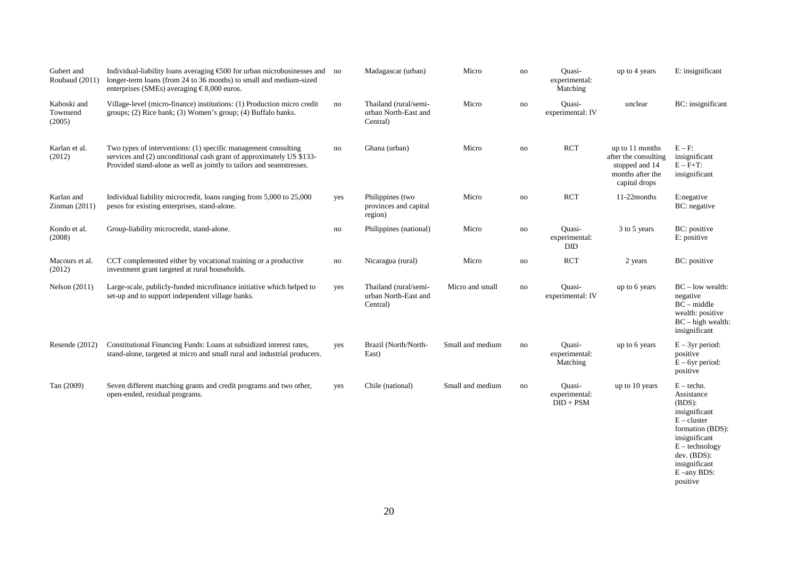| Gubert and<br>Roubaud (2011)      | Individual-liability loans averaging $\bigoplus$ 00 for urban microbusinesses and no<br>longer-term loans (from 24 to 36 months) to small and medium-sized<br>enterprises (SMEs) averaging $\text{\textsterling}8,000$ euros. |     | Madagascar (urban)                                        | Micro            | no | Ouasi-<br>experimental:<br>Matching    | up to 4 years                                                                                  | E: insignificant                                                                                                                                                                                       |
|-----------------------------------|-------------------------------------------------------------------------------------------------------------------------------------------------------------------------------------------------------------------------------|-----|-----------------------------------------------------------|------------------|----|----------------------------------------|------------------------------------------------------------------------------------------------|--------------------------------------------------------------------------------------------------------------------------------------------------------------------------------------------------------|
| Kaboski and<br>Townsend<br>(2005) | Village-level (micro-finance) institutions: (1) Production micro credit<br>groups; (2) Rice bank; (3) Women's group; (4) Buffalo banks.                                                                                       | no  | Thailand (rural/semi-<br>urban North-East and<br>Central) | Micro            | no | Ouasi-<br>experimental: IV             | unclear                                                                                        | BC: insignificant                                                                                                                                                                                      |
| Karlan et al.<br>(2012)           | Two types of interventions: (1) specific management consulting<br>services and (2) unconditional cash grant of approximately US \$133-<br>Provided stand-alone as well as jointly to tailors and seamstresses.                | no  | Ghana (urban)                                             | Micro            | no | <b>RCT</b>                             | up to 11 months<br>after the consulting<br>stopped and 14<br>months after the<br>capital drops | $E - F$ :<br>insignificant<br>$E - F + T$ :<br>insignificant                                                                                                                                           |
| Karlan and<br>Zinman $(2011)$     | Individual liability microcredit, loans ranging from 5,000 to 25,000<br>pesos for existing enterprises, stand-alone.                                                                                                          | yes | Philippines (two<br>provinces and capital<br>region)      | Micro            | no | <b>RCT</b>                             | 11-22months                                                                                    | E:negative<br>BC: negative                                                                                                                                                                             |
| Kondo et al.<br>(2008)            | Group-liability microcredit, stand-alone.                                                                                                                                                                                     | no  | Philippines (national)                                    | Micro            | no | Ouasi-<br>experimental:<br>DID         | 3 to 5 years                                                                                   | BC: positive<br>E: positive                                                                                                                                                                            |
| Macours et al.<br>(2012)          | CCT complemented either by vocational training or a productive<br>investment grant targeted at rural households.                                                                                                              | no  | Nicaragua (rural)                                         | Micro            | no | <b>RCT</b>                             | 2 years                                                                                        | BC: positive                                                                                                                                                                                           |
| Nelson (2011)                     | Large-scale, publicly-funded microfinance initiative which helped to<br>set-up and to support independent village banks.                                                                                                      | yes | Thailand (rural/semi-<br>urban North-East and<br>Central) | Micro and small  | no | Quasi-<br>experimental: IV             | up to 6 years                                                                                  | $BC - low wealth:$<br>negative<br>$BC - middle$<br>wealth: positive<br>$BC - high wealth:$<br>insignificant                                                                                            |
| Resende $(2012)$                  | Constitutional Financing Funds: Loans at subsidized interest rates,<br>stand-alone, targeted at micro and small rural and industrial producers.                                                                               | yes | Brazil (North/North-<br>East)                             | Small and medium | no | Quasi-<br>experimental:<br>Matching    | up to 6 years                                                                                  | $E - 3yr$ period:<br>positive<br>$E - 6yr$ period:<br>positive                                                                                                                                         |
| Tan (2009)                        | Seven different matching grants and credit programs and two other,<br>open-ended, residual programs.                                                                                                                          | yes | Chile (national)                                          | Small and medium | no | Quasi-<br>experimental:<br>$DID + PSM$ | up to 10 years                                                                                 | $E - \text{techn.}$<br>Assistance<br>$(BDS)$ :<br>insignificant<br>$E - cluster$<br>formation (BDS):<br>insignificant<br>$E - technology$<br>dev. (BDS):<br>insignificant<br>$E$ –any BDS:<br>positive |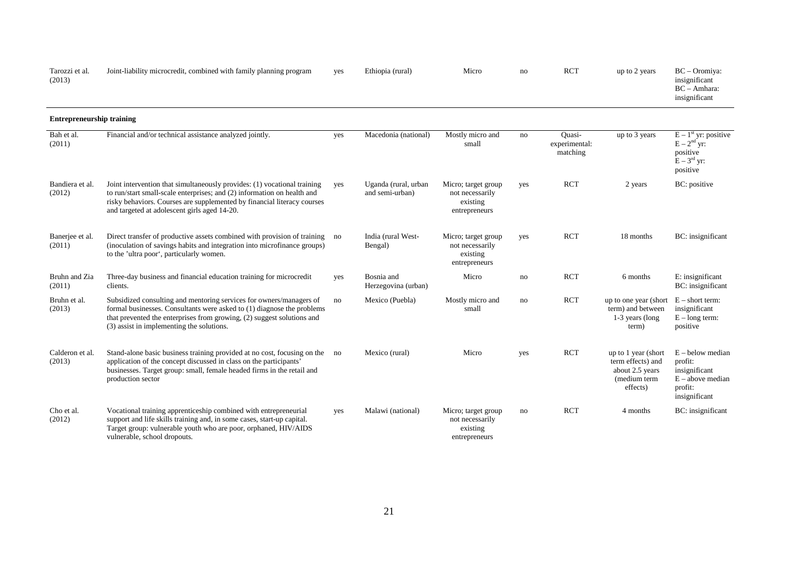| Tarozzi et al. | Joint-liability microcredit, combined with family planning program | yes | Ethiopia (rural) | Micro | no | <b>RCT</b> | up to 2 years | BC – Oromiya:   |
|----------------|--------------------------------------------------------------------|-----|------------------|-------|----|------------|---------------|-----------------|
| (2013)         |                                                                    |     |                  |       |    |            |               | insignificant   |
|                |                                                                    |     |                  |       |    |            |               | $BC - Amhara$ : |
|                |                                                                    |     |                  |       |    |            |               | insignificant   |
|                |                                                                    |     |                  |       |    |            |               |                 |

#### **Entrepreneurship training**

| Bah et al.<br>(2011)      | Financial and/or technical assistance analyzed jointly.                                                                                                                                                                                                                        | yes | Macedonia (national)                    | Mostly micro and<br>small                                           | no  | Ouasi-<br>experimental:<br>matching | up to 3 years                                                                           | $E - 1st$ yr: positive<br>$E-2^{nd}$ yr:<br>positive<br>$E-3^{rd}$ yr:<br>positive               |
|---------------------------|--------------------------------------------------------------------------------------------------------------------------------------------------------------------------------------------------------------------------------------------------------------------------------|-----|-----------------------------------------|---------------------------------------------------------------------|-----|-------------------------------------|-----------------------------------------------------------------------------------------|--------------------------------------------------------------------------------------------------|
| Bandiera et al.<br>(2012) | Joint intervention that simultaneously provides: (1) vocational training<br>to run/start small-scale enterprises; and (2) information on health and<br>risky behaviors. Courses are supplemented by financial literacy courses<br>and targeted at adolescent girls aged 14-20. | yes | Uganda (rural, urban<br>and semi-urban) | Micro; target group<br>not necessarily<br>existing<br>entrepreneurs | yes | <b>RCT</b>                          | 2 years                                                                                 | BC: positive                                                                                     |
| Banerjee et al.<br>(2011) | Direct transfer of productive assets combined with provision of training no<br>(inoculation of savings habits and integration into microfinance groups)<br>to the 'ultra poor', particularly women.                                                                            |     | India (rural West-<br>Bengal)           | Micro; target group<br>not necessarily<br>existing<br>entrepreneurs | yes | <b>RCT</b>                          | 18 months                                                                               | BC: insignificant                                                                                |
| Bruhn and Zia<br>(2011)   | Three-day business and financial education training for microcredit<br>clients.                                                                                                                                                                                                | yes | Bosnia and<br>Herzegovina (urban)       | Micro                                                               | no  | <b>RCT</b>                          | 6 months                                                                                | E: insignificant<br>BC: insignificant                                                            |
| Bruhn et al.<br>(2013)    | Subsidized consulting and mentoring services for owners/managers of<br>formal businesses. Consultants were asked to (1) diagnose the problems<br>that prevented the enterprises from growing, (2) suggest solutions and<br>(3) assist in implementing the solutions.           | no  | Mexico (Puebla)                         | Mostly micro and<br>small                                           | no  | <b>RCT</b>                          | up to one year (short)<br>term) and between<br>1-3 years (long<br>term)                 | $E - short term$ :<br>insignificant<br>$E - long$ term:<br>positive                              |
| Calderon et al.<br>(2013) | Stand-alone basic business training provided at no cost, focusing on the<br>application of the concept discussed in class on the participants'<br>businesses. Target group: small, female headed firms in the retail and<br>production sector                                  | no  | Mexico (rural)                          | Micro                                                               | yes | <b>RCT</b>                          | up to 1 year (short<br>term effects) and<br>about 2.5 years<br>(medium term<br>effects) | $E -$ below median<br>profit:<br>insignificant<br>$E - above median$<br>profit:<br>insignificant |
| Cho et al.<br>(2012)      | Vocational training apprenticeship combined with entrepreneurial<br>support and life skills training and, in some cases, start-up capital.<br>Target group: vulnerable youth who are poor, orphaned, HIV/AIDS<br>vulnerable, school dropouts.                                  | yes | Malawi (national)                       | Micro; target group<br>not necessarily<br>existing<br>entrepreneurs | no  | <b>RCT</b>                          | 4 months                                                                                | BC: insignificant                                                                                |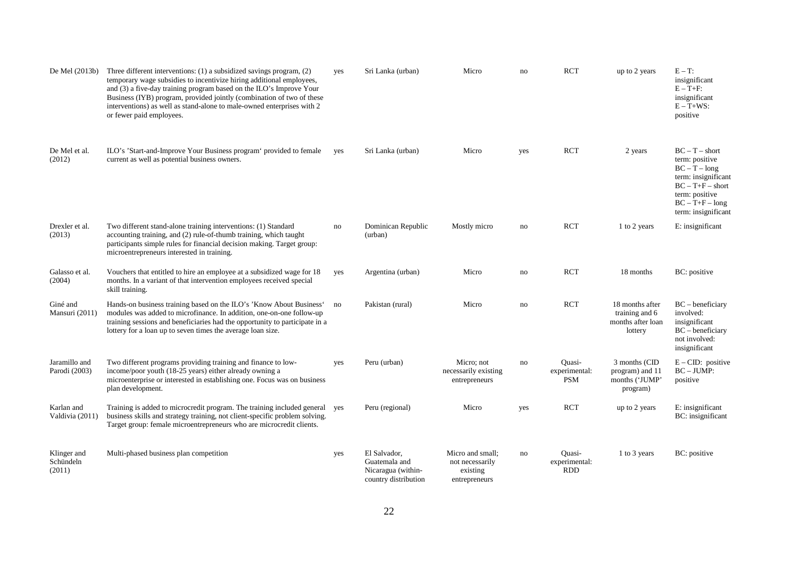| De Mel (2013b)                     | Three different interventions: (1) a subsidized savings program, (2)<br>temporary wage subsidies to incentivize hiring additional employees,<br>and (3) a five-day training program based on the ILO's Improve Your<br>Business (IYB) program, provided jointly (combination of two of these<br>interventions) as well as stand-alone to male-owned enterprises with 2<br>or fewer paid employees. | yes | Sri Lanka (urban)                                                           | Micro                                                            | no  | <b>RCT</b>                            | up to 2 years                                                     | $E - T$ :<br>insignificant<br>$E - T + F$ :<br>insignificant<br>$E - T + WS$ :<br>positive                                                                           |
|------------------------------------|----------------------------------------------------------------------------------------------------------------------------------------------------------------------------------------------------------------------------------------------------------------------------------------------------------------------------------------------------------------------------------------------------|-----|-----------------------------------------------------------------------------|------------------------------------------------------------------|-----|---------------------------------------|-------------------------------------------------------------------|----------------------------------------------------------------------------------------------------------------------------------------------------------------------|
| De Mel et al.<br>(2012)            | ILO's 'Start-and-Improve Your Business program' provided to female<br>current as well as potential business owners.                                                                                                                                                                                                                                                                                | yes | Sri Lanka (urban)                                                           | Micro                                                            | yes | <b>RCT</b>                            | 2 years                                                           | $BC - T - short$<br>term: positive<br>$BC - T - long$<br>term: insignificant<br>$BC - T + F - short$<br>term: positive<br>$BC - T + F - long$<br>term: insignificant |
| Drexler et al.<br>(2013)           | Two different stand-alone training interventions: (1) Standard<br>accounting training, and (2) rule-of-thumb training, which taught<br>participants simple rules for financial decision making. Target group:<br>microentrepreneurs interested in training.                                                                                                                                        | no  | Dominican Republic<br>(urban)                                               | Mostly micro                                                     | no  | RCT                                   | 1 to 2 years                                                      | E: insignificant                                                                                                                                                     |
| Galasso et al.<br>(2004)           | Vouchers that entitled to hire an employee at a subsidized wage for 18<br>months. In a variant of that intervention employees received special<br>skill training.                                                                                                                                                                                                                                  | yes | Argentina (urban)                                                           | Micro                                                            | no  | <b>RCT</b>                            | 18 months                                                         | BC: positive                                                                                                                                                         |
| Giné and<br>Mansuri (2011)         | Hands-on business training based on the ILO's 'Know About Business'<br>modules was added to microfinance. In addition, one-on-one follow-up<br>training sessions and beneficiaries had the opportunity to participate in a<br>lottery for a loan up to seven times the average loan size.                                                                                                          | no  | Pakistan (rural)                                                            | Micro                                                            | no  | <b>RCT</b>                            | 18 months after<br>training and 6<br>months after loan<br>lottery | $BC - beneficiary$<br>involved:<br>insignificant<br>$BC - beneficiary$<br>not involved:<br>insignificant                                                             |
| Jaramillo and<br>Parodi (2003)     | Two different programs providing training and finance to low-<br>income/poor youth (18-25 years) either already owning a<br>microenterprise or interested in establishing one. Focus was on business<br>plan development.                                                                                                                                                                          | yes | Peru (urban)                                                                | Micro; not<br>necessarily existing<br>entrepreneurs              | no  | Quasi-<br>experimental:<br><b>PSM</b> | 3 months (CID)<br>program) and 11<br>months ('JUMP'<br>program)   | $E - CID$ : positive<br>$BC - JUMP$ :<br>positive                                                                                                                    |
| Karlan and<br>Valdivia (2011)      | Training is added to microcredit program. The training included general yes<br>business skills and strategy training, not client-specific problem solving.<br>Target group: female microentrepreneurs who are microcredit clients.                                                                                                                                                                 |     | Peru (regional)                                                             | Micro                                                            | yes | <b>RCT</b>                            | up to 2 years                                                     | E: insignificant<br>BC: insignificant                                                                                                                                |
| Klinger and<br>Schündeln<br>(2011) | Multi-phased business plan competition                                                                                                                                                                                                                                                                                                                                                             | yes | El Salvador,<br>Guatemala and<br>Nicaragua (within-<br>country distribution | Micro and small;<br>not necessarily<br>existing<br>entrepreneurs | no  | Quasi-<br>experimental:<br><b>RDD</b> | 1 to 3 years                                                      | BC: positive                                                                                                                                                         |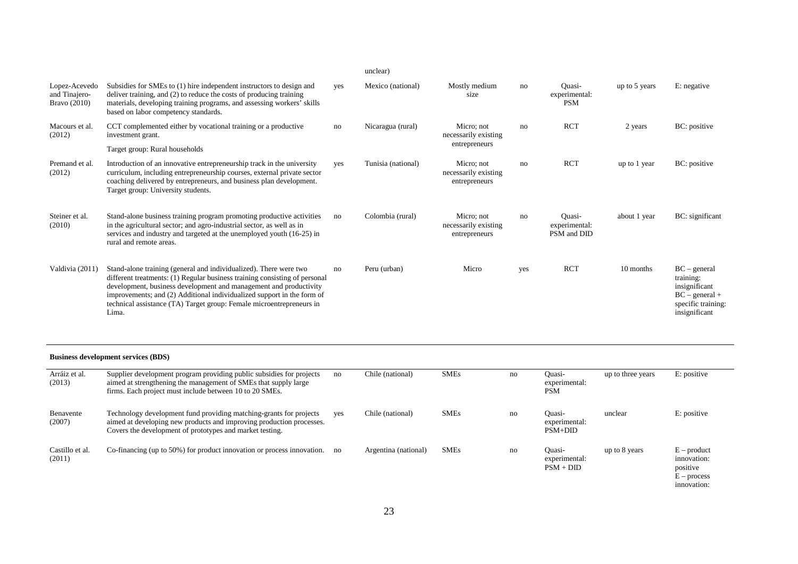| Lopez-Acevedo<br>and Tinajero-<br>Bravo (2010) | Subsidies for SMEs to (1) hire independent instructors to design and<br>deliver training, and (2) to reduce the costs of producing training<br>materials, developing training programs, and assessing workers' skills<br>based on labor competency standards.                                                                                                                   | yes | Mexico (national)  | Mostly medium<br>size                               | no  | Ouasi-<br>experimental:<br><b>PSM</b>  | up to 5 years | E: negative                                                                                             |
|------------------------------------------------|---------------------------------------------------------------------------------------------------------------------------------------------------------------------------------------------------------------------------------------------------------------------------------------------------------------------------------------------------------------------------------|-----|--------------------|-----------------------------------------------------|-----|----------------------------------------|---------------|---------------------------------------------------------------------------------------------------------|
| Macours et al.<br>(2012)                       | CCT complemented either by vocational training or a productive<br>investment grant.                                                                                                                                                                                                                                                                                             | no  | Nicaragua (rural)  | Micro: not<br>necessarily existing                  | no  | <b>RCT</b>                             | 2 years       | BC: positive                                                                                            |
|                                                | Target group: Rural households                                                                                                                                                                                                                                                                                                                                                  |     |                    | entrepreneurs                                       |     |                                        |               |                                                                                                         |
| Premand et al.<br>(2012)                       | Introduction of an innovative entrepreneurship track in the university<br>curriculum, including entrepreneurship courses, external private sector<br>coaching delivered by entrepreneurs, and business plan development.<br>Target group: University students.                                                                                                                  | yes | Tunisia (national) | Micro: not<br>necessarily existing<br>entrepreneurs | no  | <b>RCT</b>                             | up to 1 year  | BC: positive                                                                                            |
| Steiner et al.<br>(2010)                       | Stand-alone business training program promoting productive activities<br>in the agricultural sector; and agro-industrial sector, as well as in<br>services and industry and targeted at the unemployed youth (16-25) in<br>rural and remote areas.                                                                                                                              | no  | Colombia (rural)   | Micro; not<br>necessarily existing<br>entrepreneurs | no  | Ouasi-<br>experimental:<br>PSM and DID | about 1 year  | BC: significant                                                                                         |
| Valdivia (2011)                                | Stand-alone training (general and individualized). There were two<br>different treatments: (1) Regular business training consisting of personal<br>development, business development and management and productivity<br>improvements; and (2) Additional individualized support in the form of<br>technical assistance (TA) Target group: Female microentrepreneurs in<br>Lima. | no  | Peru (urban)       | Micro                                               | yes | <b>RCT</b>                             | 10 months     | $BC - general$<br>training:<br>insignificant<br>$BC - general +$<br>specific training:<br>insignificant |

#### **Business development services (BDS)**

| Arráiz et al.<br>(2013)   | Supplier development program providing public subsidies for projects<br>aimed at strengthening the management of SMEs that supply large<br>firms. Each project must include between 10 to 20 SMEs.     | no  | Chile (national)     | <b>SMEs</b> | no | Ouasi-<br>experimental:<br><b>PSM</b>  | up to three years | E: positive                                                              |
|---------------------------|--------------------------------------------------------------------------------------------------------------------------------------------------------------------------------------------------------|-----|----------------------|-------------|----|----------------------------------------|-------------------|--------------------------------------------------------------------------|
| Benavente<br>(2007)       | Technology development fund providing matching-grants for projects<br>aimed at developing new products and improving production processes.<br>Covers the development of prototypes and market testing. | yes | Chile (national)     | <b>SMEs</b> | no | Ouasi-<br>experimental:<br>$PSM+DID$   | unclear           | E: positive                                                              |
| Castillo et al.<br>(2011) | Co-financing (up to 50%) for product innovation or process innovation. no                                                                                                                              |     | Argentina (national) | <b>SMEs</b> | no | Ouasi-<br>experimental:<br>$PSM + DID$ | up to 8 years     | $E$ – product<br>innovation:<br>positive<br>$E$ – process<br>innovation: |

#### unclear)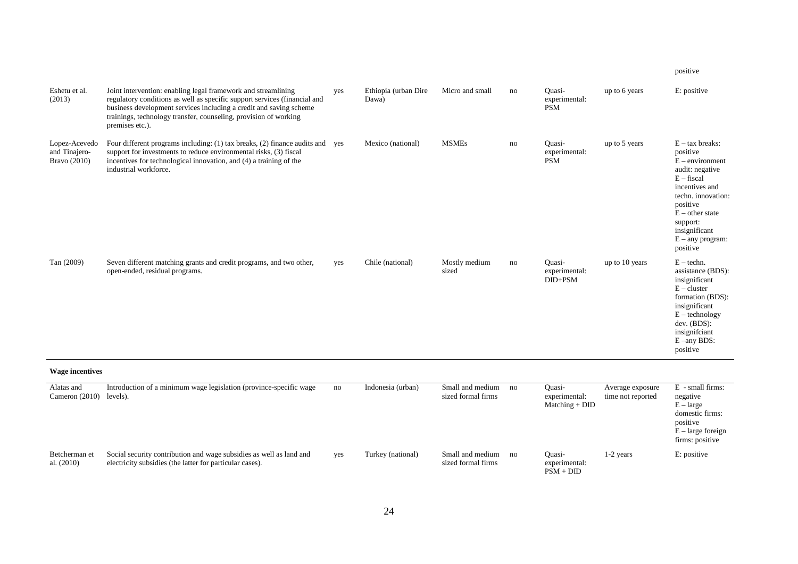| Eshetu et al.<br>(2013)                               | Joint intervention: enabling legal framework and streamlining<br>regulatory conditions as well as specific support services (financial and<br>business development services including a credit and saving scheme<br>trainings, technology transfer, counseling, provision of working<br>premises etc.). | yes | Ethiopia (urban Dire<br>Dawa) | Micro and small        | no | Ouasi-<br>experimental:<br><b>PSM</b>  | up to 6 years  | E: positive                                                                                                                                                                                                                   |
|-------------------------------------------------------|---------------------------------------------------------------------------------------------------------------------------------------------------------------------------------------------------------------------------------------------------------------------------------------------------------|-----|-------------------------------|------------------------|----|----------------------------------------|----------------|-------------------------------------------------------------------------------------------------------------------------------------------------------------------------------------------------------------------------------|
| Lopez-Acevedo<br>and Tinajero-<br><b>Bravo</b> (2010) | Four different programs including: (1) tax breaks, (2) finance audits and yes<br>support for investments to reduce environmental risks, (3) fiscal<br>incentives for technological innovation, and (4) a training of the<br>industrial workforce.                                                       |     | Mexico (national)             | <b>MSMEs</b>           | no | Ouasi-<br>experimental:<br><b>PSM</b>  | up to 5 years  | $E - tax$ breaks:<br>positive<br>$E$ – environment<br>audit: negative<br>$E$ – fiscal<br>incentives and<br>techn. innovation:<br>positive<br>$E$ – other state<br>support:<br>insignificant<br>$E -$ any program:<br>positive |
| Tan (2009)                                            | Seven different matching grants and credit programs, and two other,<br>open-ended, residual programs.                                                                                                                                                                                                   | yes | Chile (national)              | Mostly medium<br>sized | no | Ouasi-<br>experimental:<br>$DID + PSM$ | up to 10 years | $E - techn.$<br>assistance (BDS):<br>insignificant<br>$E - cluster$<br>formation (BDS):<br>insignificant<br>$E - technology$<br>dev. (BDS):<br>insignificant<br>$E$ –any BDS:<br>positive                                     |

positive

#### **Wage incentives**

| Alatas and<br>Cameron $(2010)$ | Introduction of a minimum wage legislation (province-specific wage<br>levels).                                                  | no  | Indonesia (urban) | Small and medium<br>sized formal firms | no             | Ouasi-<br>experimental:<br>$Matching + DID$ | Average exposure<br>time not reported | $E$ - small firms:<br>negative<br>$E - large$<br>domestic firms:<br>positive<br>$E$ – large foreign<br>firms: positive |
|--------------------------------|---------------------------------------------------------------------------------------------------------------------------------|-----|-------------------|----------------------------------------|----------------|---------------------------------------------|---------------------------------------|------------------------------------------------------------------------------------------------------------------------|
| Betcherman et<br>al. $(2010)$  | Social security contribution and wage subsidies as well as land and<br>electricity subsidies (the latter for particular cases). | yes | Turkey (national) | Small and medium<br>sized formal firms | n <sub>O</sub> | Ouasi-<br>experimental:<br>$PSM + DID$      | 1-2 years                             | E: positive                                                                                                            |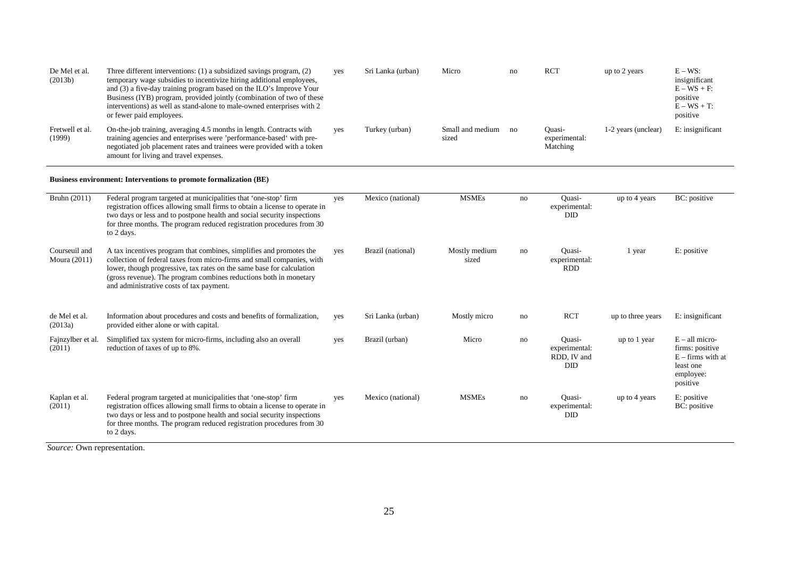| De Mel et al.<br>(2013b)      | Three different interventions: $(1)$ a subsidized savings program, $(2)$<br>temporary wage subsidies to incentivize hiring additional employees,<br>and (3) a five-day training program based on the ILO's Improve Your<br>Business (IYB) program, provided jointly (combination of two of these<br>interventions) as well as stand-alone to male-owned enterprises with 2<br>or fewer paid employees. | yes | Sri Lanka (urban) | Micro                        | no | <b>RCT</b>                                    | up to 2 years       | $E - WS$ :<br>insignificant<br>$E - WS + F$ :<br>positive<br>$E - WS + T$ :<br>positive            |
|-------------------------------|--------------------------------------------------------------------------------------------------------------------------------------------------------------------------------------------------------------------------------------------------------------------------------------------------------------------------------------------------------------------------------------------------------|-----|-------------------|------------------------------|----|-----------------------------------------------|---------------------|----------------------------------------------------------------------------------------------------|
| Fretwell et al.<br>(1999)     | On-the-job training, averaging 4.5 months in length. Contracts with<br>training agencies and enterprises were 'performance-based' with pre-<br>negotiated job placement rates and trainees were provided with a token<br>amount for living and travel expenses.                                                                                                                                        | yes | Turkey (urban)    | Small and medium no<br>sized |    | Ouasi-<br>experimental:<br>Matching           | 1-2 years (unclear) | E: insignificant                                                                                   |
|                               | Business environment: Interventions to promote formalization (BE)                                                                                                                                                                                                                                                                                                                                      |     |                   |                              |    |                                               |                     |                                                                                                    |
| Bruhn (2011)                  | Federal program targeted at municipalities that 'one-stop' firm<br>registration offices allowing small firms to obtain a license to operate in<br>two days or less and to postpone health and social security inspections<br>for three months. The program reduced registration procedures from 30<br>to 2 days.                                                                                       | yes | Mexico (national) | <b>MSMEs</b>                 | no | Ouasi-<br>experimental:<br>$\rm DID$          | up to 4 years       | BC: positive                                                                                       |
| Courseuil and<br>Moura (2011) | A tax incentives program that combines, simplifies and promotes the<br>collection of federal taxes from micro-firms and small companies, with<br>lower, though progressive, tax rates on the same base for calculation<br>(gross revenue). The program combines reductions both in monetary<br>and administrative costs of tax payment.                                                                | yes | Brazil (national) | Mostly medium<br>sized       | no | Quasi-<br>experimental:<br><b>RDD</b>         | 1 year              | E: positive                                                                                        |
| de Mel et al.<br>(2013a)      | Information about procedures and costs and benefits of formalization,<br>provided either alone or with capital.                                                                                                                                                                                                                                                                                        | yes | Sri Lanka (urban) | Mostly micro                 | no | <b>RCT</b>                                    | up to three years   | E: insignificant                                                                                   |
| Fajnzylber et al.<br>(2011)   | Simplified tax system for micro-firms, including also an overall<br>reduction of taxes of up to 8%.                                                                                                                                                                                                                                                                                                    | yes | Brazil (urban)    | Micro                        | no | Ouasi-<br>experimental:<br>RDD, IV and<br>DID | up to 1 year        | $E - all micro-$<br>firms: positive<br>$E - f$ firms with at<br>least one<br>employee:<br>positive |
| Kaplan et al.<br>(2011)       | Federal program targeted at municipalities that 'one-stop' firm<br>registration offices allowing small firms to obtain a license to operate in<br>two days or less and to postpone health and social security inspections<br>for three months. The program reduced registration procedures from 30<br>to 2 days.                                                                                       | yes | Mexico (national) | <b>MSMEs</b>                 | no | Quasi-<br>experimental:<br>DID                | up to 4 years       | E: positive<br>BC: positive                                                                        |

*Source:* Own representation.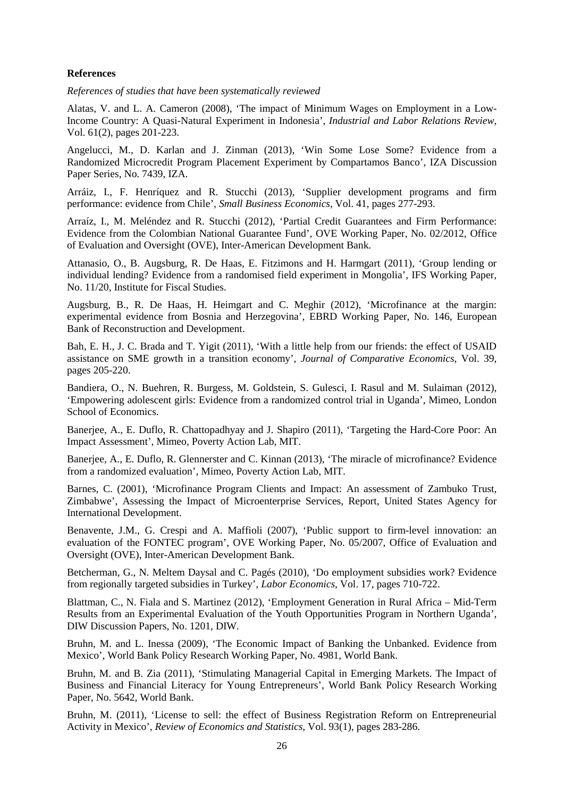#### **References**

*References of studies that have been systematically reviewed*

Alatas, V. and L. A. Cameron (2008), 'The impact of Minimum Wages on Employment in a Low-Income Country: A Quasi-Natural Experiment in Indonesia', *Industrial and Labor Relations Review*, Vol. 61(2), pages 201-223.

Angelucci, M., D. Karlan and J. Zinman (2013), 'Win Some Lose Some? Evidence from a Randomized Microcredit Program Placement Experiment by Compartamos Banco', IZA Discussion Paper Series, No. 7439, IZA.

Arráiz, I., F. Henríquez and R. Stucchi (2013), 'Supplier development programs and firm performance: evidence from Chile', *Small Business Economics*, Vol. 41, pages 277-293.

Arraíz, I., M. Meléndez and R. Stucchi (2012), 'Partial Credit Guarantees and Firm Performance: Evidence from the Colombian National Guarantee Fund', OVE Working Paper, No. 02/2012, Office of Evaluation and Oversight (OVE), Inter-American Development Bank.

Attanasio, O., B. Augsburg, R. De Haas, E. Fitzimons and H. Harmgart (2011), 'Group lending or individual lending? Evidence from a randomised field experiment in Mongolia', IFS Working Paper, No. 11/20, Institute for Fiscal Studies.

Augsburg, B., R. De Haas, H. Heimgart and C. Meghir (2012), 'Microfinance at the margin: experimental evidence from Bosnia and Herzegovina', EBRD Working Paper, No. 146, European Bank of Reconstruction and Development.

Bah, E. H., J. C. Brada and T. Yigit (2011), 'With a little help from our friends: the effect of USAID assistance on SME growth in a transition economy', *Journal of Comparative Economics*, Vol. 39, pages 205-220.

Bandiera, O., N. Buehren, R. Burgess, M. Goldstein, S. Gulesci, I. Rasul and M. Sulaiman (2012), 'Empowering adolescent girls: Evidence from a randomized control trial in Uganda', Mimeo, London School of Economics.

Banerjee, A., E. Duflo, R. Chattopadhyay and J. Shapiro (2011), 'Targeting the Hard-Core Poor: An Impact Assessment', Mimeo, Poverty Action Lab, MIT.

Banerjee, A., E. Duflo, R. Glennerster and C. Kinnan (2013), 'The miracle of microfinance? Evidence from a randomized evaluation', Mimeo, Poverty Action Lab, MIT.

Barnes, C. (2001), 'Microfinance Program Clients and Impact: An assessment of Zambuko Trust, Zimbabwe', Assessing the Impact of Microenterprise Services, Report, United States Agency for International Development.

Benavente, J.M., G. Crespi and A. Maffioli (2007), 'Public support to firm-level innovation: an evaluation of the FONTEC program', OVE Working Paper, No. 05/2007, Office of Evaluation and Oversight (OVE), Inter-American Development Bank.

Betcherman, G., N. Meltem Daysal and C. Pagés (2010), 'Do employment subsidies work? Evidence from regionally targeted subsidies in Turkey', *Labor Economics*, Vol. 17, pages 710-722.

Blattman, C., N. Fiala and S. Martinez (2012), 'Employment Generation in Rural Africa – Mid-Term Results from an Experimental Evaluation of the Youth Opportunities Program in Northern Uganda', DIW Discussion Papers, No. 1201, DIW.

Bruhn, M. and L. Inessa (2009), 'The Economic Impact of Banking the Unbanked. Evidence from Mexico', World Bank Policy Research Working Paper, No. 4981, World Bank.

Bruhn, M. and B. Zia (2011), 'Stimulating Managerial Capital in Emerging Markets. The Impact of Business and Financial Literacy for Young Entrepreneurs', World Bank Policy Research Working Paper, No. 5642, World Bank.

Bruhn, M. (2011), 'License to sell: the effect of Business Registration Reform on Entrepreneurial Activity in Mexico', *Review of Economics and Statistics*, Vol. 93(1), pages 283-286.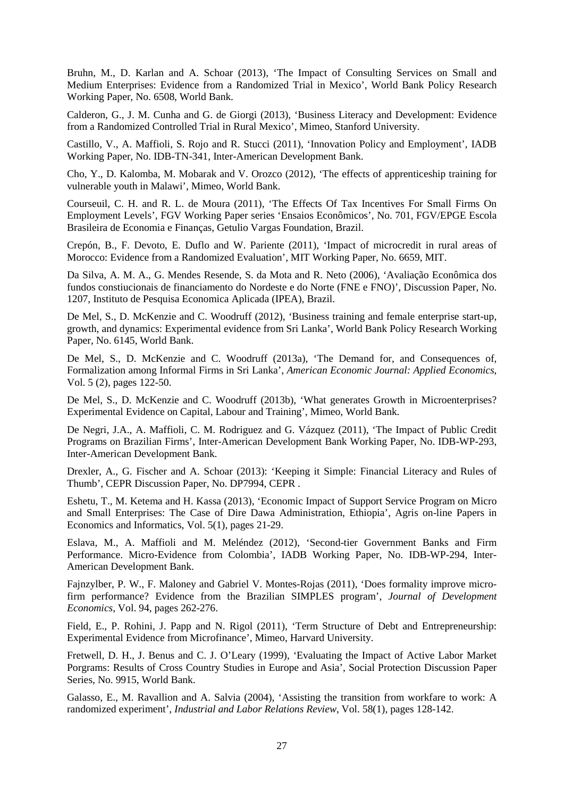Bruhn, M., D. Karlan and A. Schoar (2013), 'The Impact of Consulting Services on Small and Medium Enterprises: Evidence from a Randomized Trial in Mexico', World Bank Policy Research Working Paper, No. 6508, World Bank.

Calderon, G., J. M. Cunha and G. de Giorgi (2013), 'Business Literacy and Development: Evidence from a Randomized Controlled Trial in Rural Mexico', Mimeo, Stanford University.

Castillo, V., A. Maffioli, S. Rojo and R. Stucci (2011), 'Innovation Policy and Employment', IADB Working Paper, No. IDB-TN-341, Inter-American Development Bank.

Cho, Y., D. Kalomba, M. Mobarak and V. Orozco (2012), 'The effects of apprenticeship training for vulnerable youth in Malawi', Mimeo, World Bank.

Courseuil, C. H. and R. L. de Moura (2011), 'The Effects Of Tax Incentives For Small Firms On Employment Levels', FGV Working Paper series 'Ensaios Econômicos', No. 701, FGV/EPGE Escola Brasileira de Economia e Finanças, Getulio Vargas Foundation, Brazil.

Crepón, B., F. Devoto, E. Duflo and W. Pariente (2011), 'Impact of microcredit in rural areas of Morocco: Evidence from a Randomized Evaluation', MIT Working Paper, No. 6659, MIT.

Da Silva, A. M. A., G. Mendes Resende, S. da Mota and R. Neto (2006), 'Avaliação Econômica dos fundos constiucionais de financiamento do Nordeste e do Norte (FNE e FNO)', Discussion Paper, No. 1207, Instituto de Pesquisa Economica Aplicada (IPEA), Brazil.

De Mel, S., D. McKenzie and C. Woodruff (2012), 'Business training and female enterprise start-up, growth, and dynamics: Experimental evidence from Sri Lanka', World Bank Policy Research Working Paper, No. 6145, World Bank.

De Mel, S., D. McKenzie and C. Woodruff (2013a), 'The Demand for, and Consequences of, Formalization among Informal Firms in Sri Lanka', *American Economic Journal: Applied Economics*, Vol. 5 (2), pages 122-50.

De Mel, S., D. McKenzie and C. Woodruff (2013b), 'What generates Growth in Microenterprises? Experimental Evidence on Capital, Labour and Training', Mimeo, World Bank.

De Negri, J.A., A. Maffioli, C. M. Rodriguez and G. Vázquez (2011), 'The Impact of Public Credit Programs on Brazilian Firms', Inter-American Development Bank Working Paper, No. IDB-WP-293, Inter-American Development Bank.

Drexler, A., G. Fischer and A. Schoar (2013): 'Keeping it Simple: Financial Literacy and Rules of Thumb', CEPR Discussion Paper, No. DP7994, CEPR .

Eshetu, T., M. Ketema and H. Kassa (2013), 'Economic Impact of Support Service Program on Micro and Small Enterprises: The Case of Dire Dawa Administration, Ethiopia', Agris on-line Papers in Economics and Informatics, Vol. 5(1), pages 21-29.

Eslava, M., A. Maffioli and M. Meléndez (2012), 'Second-tier Government Banks and Firm Performance. Micro-Evidence from Colombia', IADB Working Paper, No. IDB-WP-294, Inter-American Development Bank.

Fajnzylber, P. W., F. Maloney and Gabriel V. Montes-Rojas (2011), 'Does formality improve microfirm performance? Evidence from the Brazilian SIMPLES program', *Journal of Development Economics*, Vol. 94, pages 262-276.

Field, E., P. Rohini, J. Papp and N. Rigol (2011), 'Term Structure of Debt and Entrepreneurship: Experimental Evidence from Microfinance', Mimeo, Harvard University.

Fretwell, D. H., J. Benus and C. J. O'Leary (1999), 'Evaluating the Impact of Active Labor Market Porgrams: Results of Cross Country Studies in Europe and Asia', Social Protection Discussion Paper Series, No. 9915, World Bank.

Galasso, E., M. Ravallion and A. Salvia (2004), 'Assisting the transition from workfare to work: A randomized experiment', *Industrial and Labor Relations Review*, Vol. 58(1), pages 128-142.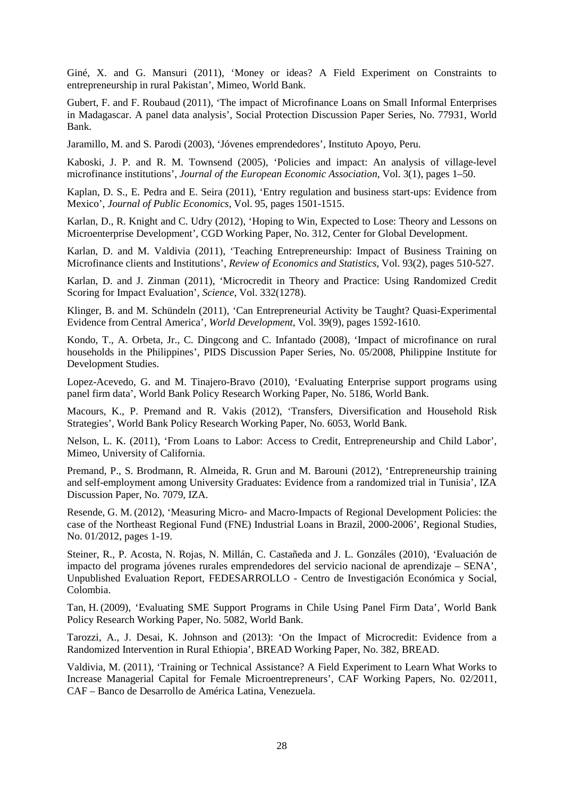Giné, X. and G. Mansuri (2011), 'Money or ideas? A Field Experiment on Constraints to entrepreneurship in rural Pakistan', Mimeo, World Bank.

Gubert, F. and F. Roubaud (2011), 'The impact of Microfinance Loans on Small Informal Enterprises in Madagascar. A panel data analysis', Social Protection Discussion Paper Series, No. 77931, World Bank.

Jaramillo, M. and S. Parodi (2003), 'Jóvenes emprendedores', Instituto Apoyo, Peru.

Kaboski, J. P. and R. M. Townsend (2005), 'Policies and impact: An analysis of village-level microfinance institutions', *Journal of the European Economic Association*, Vol. 3(1), pages 1–50.

Kaplan, D. S., E. Pedra and E. Seira (2011), 'Entry regulation and business start-ups: Evidence from Mexico', *Journal of Public Economics*, Vol. 95, pages 1501-1515.

Karlan, D., R. Knight and C. Udry (2012), 'Hoping to Win, Expected to Lose: Theory and Lessons on Microenterprise Development', CGD Working Paper, No. 312, Center for Global Development.

Karlan, D. and M. Valdivia (2011), 'Teaching Entrepreneurship: Impact of Business Training on Microfinance clients and Institutions', *Review of Economics and Statistics*, Vol. 93(2), pages 510-527.

Karlan, D. and J. Zinman (2011), 'Microcredit in Theory and Practice: Using Randomized Credit Scoring for Impact Evaluation', *Science*, Vol. 332(1278).

Klinger, B. and M. Schündeln (2011), 'Can Entrepreneurial Activity be Taught? Quasi-Experimental Evidence from Central America', *World Development*, Vol. 39(9), pages 1592-1610.

Kondo, T., A. Orbeta, Jr., C. Dingcong and C. Infantado (2008), 'Impact of microfinance on rural households in the Philippines', PIDS Discussion Paper Series, No. 05/2008, Philippine Institute for Development Studies.

Lopez-Acevedo, G. and M. Tinajero-Bravo (2010), 'Evaluating Enterprise support programs using panel firm data', World Bank Policy Research Working Paper, No. 5186, World Bank.

Macours, K., P. Premand and R. Vakis (2012), 'Transfers, Diversification and Household Risk Strategies', World Bank Policy Research Working Paper, No. 6053, World Bank.

Nelson, L. K. (2011), 'From Loans to Labor: Access to Credit, Entrepreneurship and Child Labor', Mimeo, University of California.

Premand, P., S. Brodmann, R. Almeida, R. Grun and M. Barouni (2012), 'Entrepreneurship training and self-employment among University Graduates: Evidence from a randomized trial in Tunisia', IZA Discussion Paper, No. 7079, IZA.

Resende, G. M. (2012), 'Measuring Micro- and Macro-Impacts of Regional Development Policies: the case of the Northeast Regional Fund (FNE) Industrial Loans in Brazil, 2000-2006', Regional Studies, No. 01/2012, pages 1-19.

Steiner, R., P. Acosta, N. Rojas, N. Millán, C. Castañeda and J. L. Gonzáles (2010), 'Evaluación de impacto del programa jóvenes rurales emprendedores del servicio nacional de aprendizaje – SENA', Unpublished Evaluation Report, FEDESARROLLO - Centro de Investigación Económica y Social, Colombia.

Tan, H. (2009), 'Evaluating SME Support Programs in Chile Using Panel Firm Data', World Bank Policy Research Working Paper, No. 5082, World Bank.

Tarozzi, A., J. Desai, K. Johnson and (2013): 'On the Impact of Microcredit: Evidence from a Randomized Intervention in Rural Ethiopia', BREAD Working Paper, No. 382, BREAD.

Valdivia, M. (2011), 'Training or Technical Assistance? A Field Experiment to Learn What Works to Increase Managerial Capital for Female Microentrepreneurs', CAF Working Papers, No. 02/2011, CAF – Banco de Desarrollo de América Latina, Venezuela.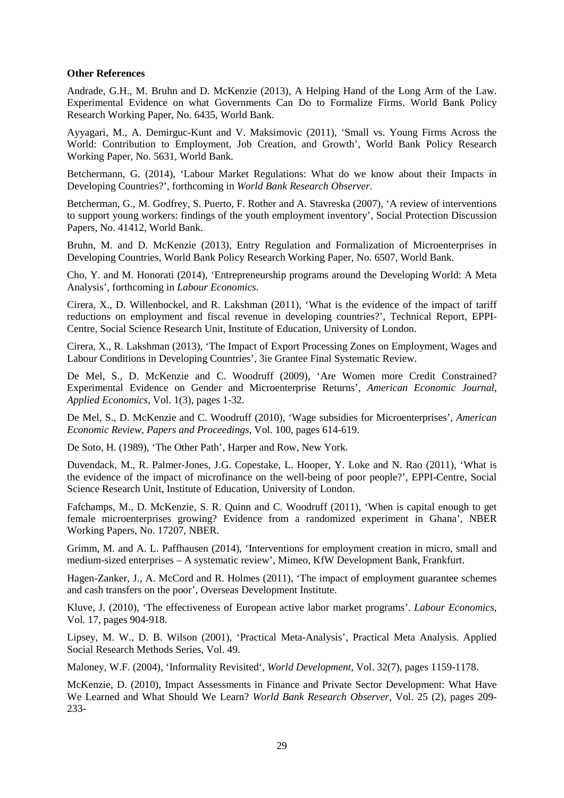#### **Other References**

Andrade, G.H., M. Bruhn and D. McKenzie (2013), A Helping Hand of the Long Arm of the Law. Experimental Evidence on what Governments Can Do to Formalize Firms. World Bank Policy Research Working Paper, No. 6435, World Bank.

Ayyagari, M., A. Demirguc-Kunt and V. Maksimovic (2011), 'Small vs. Young Firms Across the World: Contribution to Employment, Job Creation, and Growth', World Bank Policy Research Working Paper, No. 5631, World Bank.

Betchermann, G. (2014), 'Labour Market Regulations: What do we know about their Impacts in Developing Countries?', forthcoming in *World Bank Research Observer*.

Betcherman, G., M. Godfrey, S. Puerto, F. Rother and A. Stavreska (2007), 'A review of interventions to support young workers: findings of the youth employment inventory', Social Protection Discussion Papers, No. 41412, World Bank.

Bruhn, M. and D. McKenzie (2013), Entry Regulation and Formalization of Microenterprises in Developing Countries, World Bank Policy Research Working Paper, No. 6507, World Bank.

Cho, Y. and M. Honorati (2014), 'Entrepreneurship programs around the Developing World: A Meta Analysis', forthcoming in *Labour Economics*.

Cirera, X., D. Willenbockel, and R. Lakshman (2011), 'What is the evidence of the impact of tariff reductions on employment and fiscal revenue in developing countries?', Technical Report, EPPI-Centre, Social Science Research Unit, Institute of Education, University of London.

Cirera, X., R. Lakshman (2013), 'The Impact of Export Processing Zones on Employment, Wages and Labour Conditions in Developing Countries', 3ie Grantee Final Systematic Review.

De Mel, S., D. McKenzie and C. Woodruff (2009), 'Are Women more Credit Constrained? Experimental Evidence on Gender and Microenterprise Returns', *American Economic Journal, Applied Economics*, Vol. 1(3), pages 1-32.

De Mel, S., D. McKenzie and C. Woodruff (2010), 'Wage subsidies for Microenterprises', *American Economic Review, Papers and Proceedings*, Vol. 100, pages 614-619.

De Soto, H. (1989), 'The Other Path', Harper and Row, New York.

Duvendack, M., R. Palmer-Jones, J.G. Copestake, L. Hooper, Y. Loke and N. Rao (2011), 'What is the evidence of the impact of microfinance on the well-being of poor people?', EPPI-Centre, Social Science Research Unit, Institute of Education, University of London.

Fafchamps, M., D. McKenzie, S. R. Quinn and C. Woodruff (2011), 'When is capital enough to get female microenterprises growing? Evidence from a randomized experiment in Ghana', NBER Working Papers, No. 17207, NBER.

Grimm, M. and A. L. Paffhausen (2014), 'Interventions for employment creation in micro, small and medium-sized enterprises – A systematic review', Mimeo, KfW Development Bank, Frankfurt.

Hagen-Zanker, J., A. McCord and R. Holmes (2011), 'The impact of employment guarantee schemes and cash transfers on the poor', Overseas Development Institute.

Kluve, J. (2010), 'The effectiveness of European active labor market programs'. *Labour Economics*, Vol. 17, pages 904-918.

Lipsey, M. W., D. B. Wilson (2001), 'Practical Meta-Analysis', Practical Meta Analysis. Applied Social Research Methods Series, Vol. 49.

Maloney, W.F. (2004), 'Informality Revisited', *World Development*, Vol. 32(7), pages 1159-1178.

McKenzie, D. (2010), Impact Assessments in Finance and Private Sector Development: What Have We Learned and What Should We Learn? *World Bank Research Observer*, Vol. 25 (2), pages 209- 233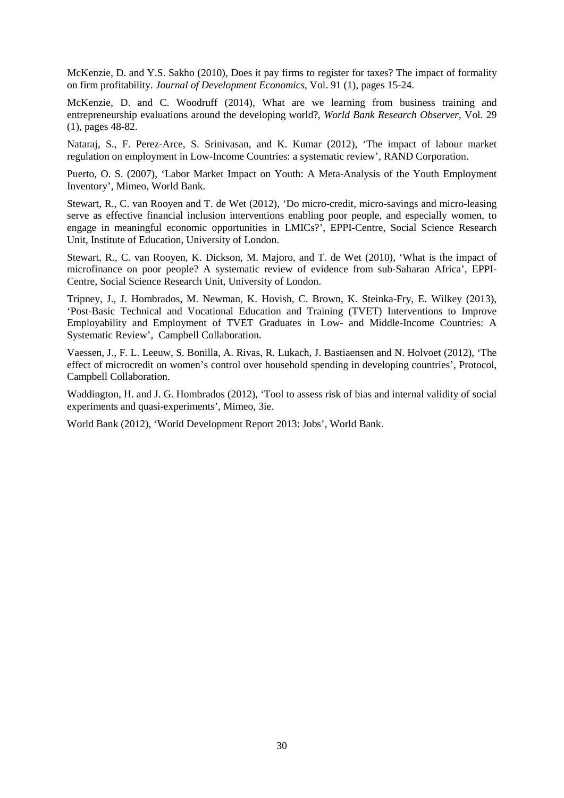McKenzie, D. and Y.S. Sakho (2010), Does it pay firms to register for taxes? The impact of formality on firm profitability. *Journal of Development Economics*, Vol. 91 (1), pages 15-24.

McKenzie, D. and C. Woodruff (2014), What are we learning from business training and entrepreneurship evaluations around the developing world?, *World Bank Research Observer*, Vol. 29 (1), pages 48-82.

Nataraj, S., F. Perez-Arce, S. Srinivasan, and K. Kumar (2012), 'The impact of labour market regulation on employment in Low-Income Countries: a systematic review', RAND Corporation.

Puerto, O. S. (2007), 'Labor Market Impact on Youth: A Meta-Analysis of the Youth Employment Inventory', Mimeo, World Bank.

Stewart, R., C. van Rooyen and T. de Wet (2012), 'Do micro-credit, micro-savings and micro-leasing serve as effective financial inclusion interventions enabling poor people, and especially women, to engage in meaningful economic opportunities in LMICs?', EPPI-Centre, Social Science Research Unit, Institute of Education, University of London.

Stewart, R., C. van Rooyen, K. Dickson, M. Majoro, and T. de Wet (2010), 'What is the impact of microfinance on poor people? A systematic review of evidence from sub-Saharan Africa', EPPI-Centre, Social Science Research Unit, University of London.

Tripney, J., J. Hombrados, M. Newman, K. Hovish, C. Brown, K. Steinka-Fry, E. Wilkey (2013), 'Post-Basic Technical and Vocational Education and Training (TVET) Interventions to Improve Employability and Employment of TVET Graduates in Low- and Middle-Income Countries: A Systematic Review', Campbell Collaboration.

Vaessen, J., F. L. Leeuw, S. Bonilla, A. Rivas, R. Lukach, J. Bastiaensen and N. Holvoet (2012), 'The effect of microcredit on women's control over household spending in developing countries', Protocol, Campbell Collaboration.

Waddington, H. and J. G. Hombrados (2012), 'Tool to assess risk of bias and internal validity of social experiments and quasi-experiments', Mimeo, 3ie.

World Bank (2012), 'World Development Report 2013: Jobs', World Bank.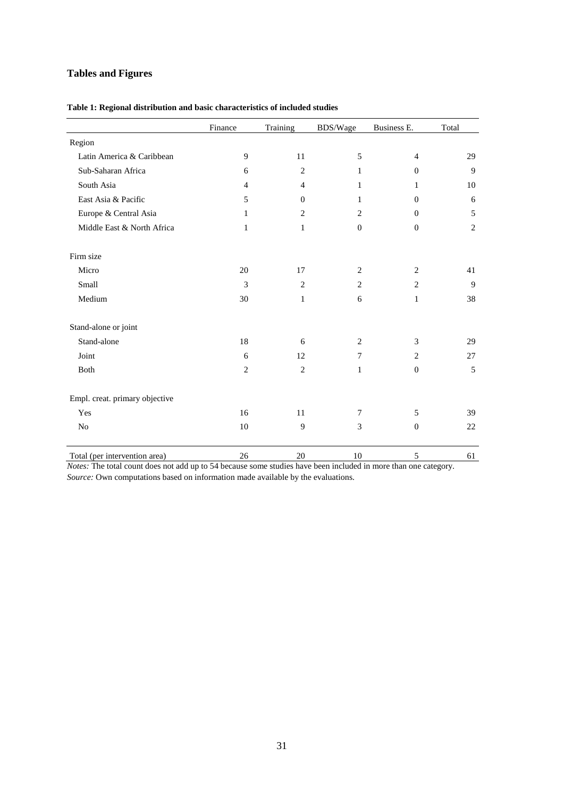### **Tables and Figures**

|  |  |  |  | Table 1: Regional distribution and basic characteristics of included studies |  |  |
|--|--|--|--|------------------------------------------------------------------------------|--|--|
|--|--|--|--|------------------------------------------------------------------------------|--|--|

|                                | Finance        | Training       | BDS/Wage         | Business E.      | Total          |
|--------------------------------|----------------|----------------|------------------|------------------|----------------|
| Region                         |                |                |                  |                  |                |
| Latin America & Caribbean      | 9              | 11             | 5                | $\overline{4}$   | 29             |
| Sub-Saharan Africa             | 6              | $\mathbf{2}$   | 1                | $\theta$         | 9              |
| South Asia                     | $\overline{4}$ | $\overline{4}$ | 1                | 1                | 10             |
| East Asia & Pacific            | 5              | $\mathbf{0}$   | 1                | $\Omega$         | 6              |
| Europe & Central Asia          | 1              | $\overline{2}$ | $\overline{2}$   | $\theta$         | 5              |
| Middle East & North Africa     | $\mathbf{1}$   | $\mathbf{1}$   | $\boldsymbol{0}$ | $\boldsymbol{0}$ | $\overline{c}$ |
| Firm size                      |                |                |                  |                  |                |
| Micro                          | 20             | 17             | 2                | 2                | 41             |
| Small                          | 3              | $\overline{2}$ | $\overline{2}$   | $\overline{2}$   | 9              |
| Medium                         | 30             | $\mathbf{1}$   | 6                | $\mathbf{1}$     | 38             |
| Stand-alone or joint           |                |                |                  |                  |                |
| Stand-alone                    | 18             | 6              | $\overline{2}$   | 3                | 29             |
| Joint                          | 6              | 12             | 7                | $\overline{c}$   | 27             |
| Both                           | $\mathbf{2}$   | $\mathbf{2}$   | 1                | $\overline{0}$   | 5              |
| Empl. creat. primary objective |                |                |                  |                  |                |
| Yes                            | 16             | 11             | 7                | 5                | 39             |
| No                             | 10             | $\overline{9}$ | 3                | $\boldsymbol{0}$ | 22             |
| Total (per intervention area)  | 26             | 20             | 10               | 5                | 61             |

*Notes:* The total count does not add up to 54 because some studies have been included in more than one category. *Source:* Own computations based on information made available by the evaluations.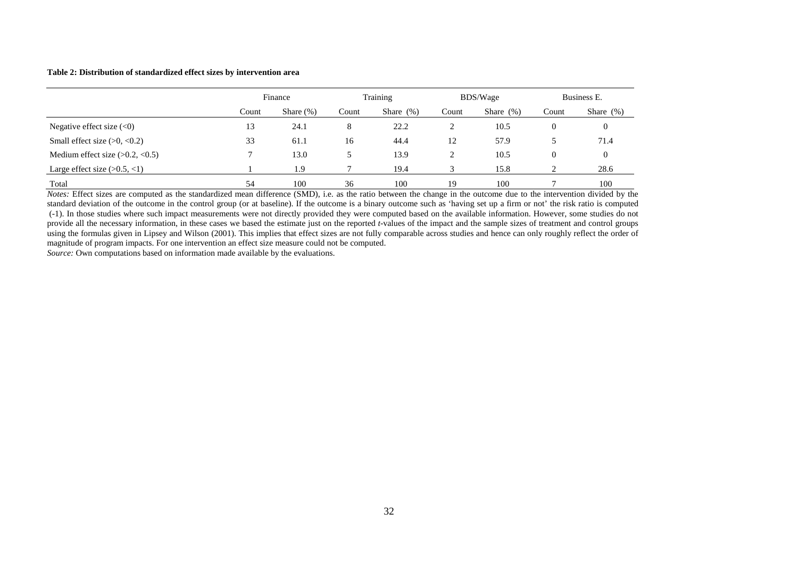#### **Table 2: Distribution of standardized effect sizes by intervention area**

|                                   | Finance |              | Training |              | <b>BDS/Wage</b> |              | Business E.      |              |
|-----------------------------------|---------|--------------|----------|--------------|-----------------|--------------|------------------|--------------|
|                                   | Count   | Share $(\%)$ | Count    | Share $(\%)$ | Count           | Share $(\%)$ | Count            | Share $(\%)$ |
| Negative effect size $(<0)$       | 13      | 24.1         | 8        | 22.2         | ◠<br>∠          | 10.5         | $\boldsymbol{0}$ | $\bf{0}$     |
| Small effect size $(>0, <0.2)$    | 33      | 61.1         | 16       | 44.4         | 12              | 57.9         |                  | 71.4         |
| Medium effect size $(>0.2, <0.5)$ |         | 13.0         |          | 13.9         | ∍<br>∠          | 10.5         | $\theta$         | $\bf{0}$     |
| Large effect size $(>0.5, <1)$    |         | 1.9          |          | 19.4         | 3               | 15.8         | ◠                | 28.6         |
| Total                             | 54      | 100          | 36       | 100          | 19              | 100          |                  | 100          |

*Notes:* Effect sizes are computed as the standardized mean difference (SMD), i.e. as the ratio between the change in the outcome due to the intervention divided by the standard deviation of the outcome in the control group (or at baseline). If the outcome is a binary outcome such as 'having set up a firm or not' the risk ratio is computed (-1). In those studies where such impact measurements were not directly provided they were computed based on the available information. However, some studies do not provide all the necessary information, in these cases we based the estimate just on the reported *t*-values of the impact and the sample sizes of treatment and control groups using the formulas given in Lipsey and Wilson (2001). This implies that effect sizes are not fully comparable across studies and hence can only roughly reflect the order of magnitude of program impacts. For one intervention an effect size measure could not be computed.

*Source:* Own computations based on information made available by the evaluations.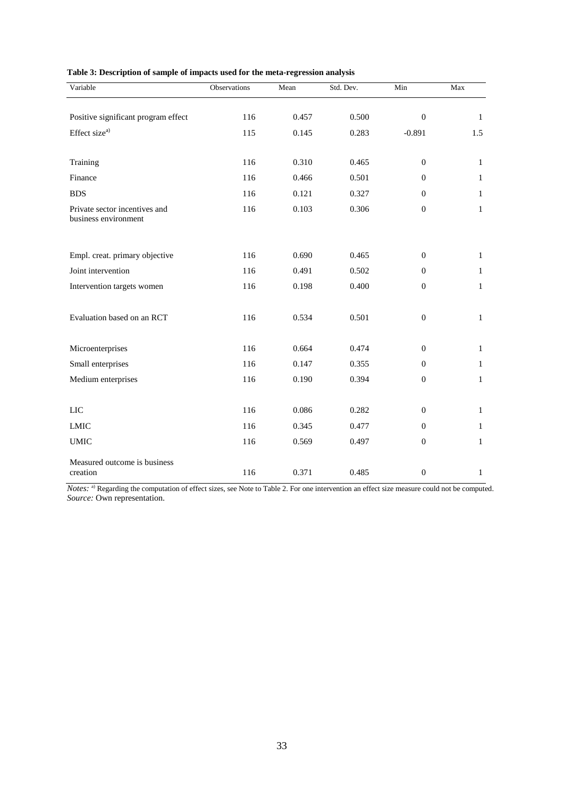| Table 3: Description of sample of impacts used for the meta-regression analysis |  |  |  |  |  |
|---------------------------------------------------------------------------------|--|--|--|--|--|
|---------------------------------------------------------------------------------|--|--|--|--|--|

| Variable                                              | Observations | Mean  | Std. Dev. | Min              | Max          |  |
|-------------------------------------------------------|--------------|-------|-----------|------------------|--------------|--|
| Positive significant program effect                   | 116          | 0.457 | 0.500     | $\overline{0}$   | 1            |  |
| Effect size <sup>a)</sup>                             | 115          | 0.145 | 0.283     | $-0.891$         | 1.5          |  |
|                                                       |              |       |           |                  |              |  |
| Training                                              | 116          | 0.310 | 0.465     | $\mathbf{0}$     | $\mathbf{1}$ |  |
| Finance                                               | 116          | 0.466 | 0.501     | $\mathbf{0}$     | $\mathbf{1}$ |  |
| <b>BDS</b>                                            | 116          | 0.121 | 0.327     | $\overline{0}$   | $\mathbf{1}$ |  |
| Private sector incentives and<br>business environment | 116          | 0.103 | 0.306     | $\overline{0}$   | $\mathbf{1}$ |  |
|                                                       |              |       |           |                  |              |  |
| Empl. creat. primary objective                        | 116          | 0.690 | 0.465     | $\overline{0}$   | $\mathbf{1}$ |  |
| Joint intervention                                    | 116          | 0.491 | 0.502     | $\mathbf{0}$     | $\mathbf{1}$ |  |
| Intervention targets women                            | 116          | 0.198 | 0.400     | $\mathbf{0}$     | $\mathbf{1}$ |  |
| Evaluation based on an RCT                            | 116          | 0.534 | 0.501     | $\boldsymbol{0}$ | $\mathbf{1}$ |  |
| Microenterprises                                      | 116          | 0.664 | 0.474     | $\mathbf{0}$     | $\mathbf{1}$ |  |
| Small enterprises                                     | 116          | 0.147 | 0.355     | $\overline{0}$   | $\mathbf{1}$ |  |
| Medium enterprises                                    | 116          | 0.190 | 0.394     | $\boldsymbol{0}$ | $\mathbf{1}$ |  |
| $LIC$                                                 | 116          | 0.086 | 0.282     | $\mathbf{0}$     | $\mathbf{1}$ |  |
| <b>LMIC</b>                                           | 116          | 0.345 | 0.477     | $\mathbf{0}$     | $\mathbf{1}$ |  |
| <b>UMIC</b>                                           | 116          | 0.569 | 0.497     | $\boldsymbol{0}$ | $\mathbf{1}$ |  |
| Measured outcome is business<br>creation              | 116          | 0.371 | 0.485     | $\boldsymbol{0}$ | $\mathbf{1}$ |  |

*Notes:* <sup>a)</sup> Regarding the computation of effect sizes, see Note to Table 2. For one intervention an effect size measure could not be computed. *Source:* Own representation.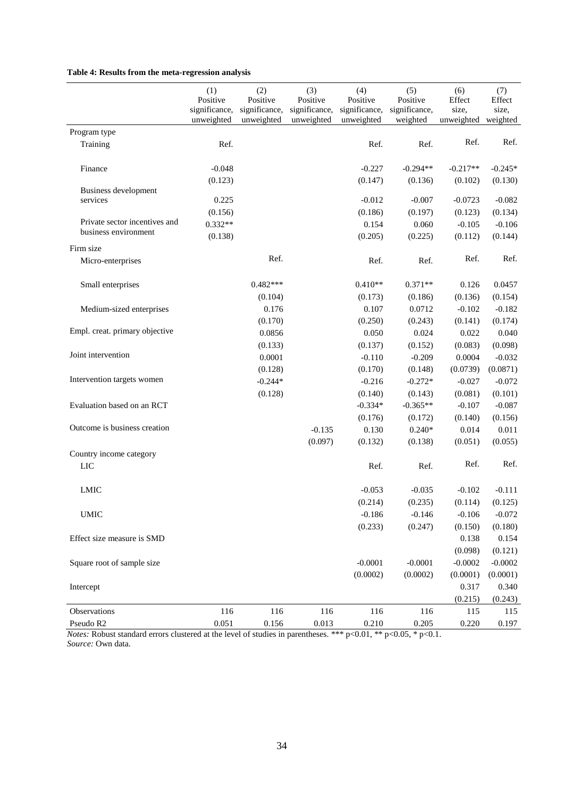| Table 4: Results from the meta-regression analysis |
|----------------------------------------------------|
|----------------------------------------------------|

|                                  | (1)                       | (2)                       | (3)                       | (4)                       | (5)                       | (6)                 | (7)             |
|----------------------------------|---------------------------|---------------------------|---------------------------|---------------------------|---------------------------|---------------------|-----------------|
|                                  | Positive<br>significance, | Positive<br>significance, | Positive<br>significance, | Positive<br>significance, | Positive<br>significance, | Effect<br>size,     | Effect<br>size, |
|                                  | unweighted                | unweighted                | unweighted                | unweighted                | weighted                  | unweighted weighted |                 |
| Program type                     |                           |                           |                           |                           |                           |                     |                 |
| Training                         | Ref.                      |                           |                           | Ref.                      | Ref.                      | Ref.                | Ref.            |
|                                  |                           |                           |                           |                           |                           |                     |                 |
| Finance                          | $-0.048$                  |                           |                           | $-0.227$                  | $-0.294**$                | $-0.217**$          | $-0.245*$       |
|                                  | (0.123)                   |                           |                           | (0.147)                   | (0.136)                   | (0.102)             | (0.130)         |
| Business development<br>services | 0.225                     |                           |                           | $-0.012$                  | $-0.007$                  | $-0.0723$           | $-0.082$        |
|                                  | (0.156)                   |                           |                           | (0.186)                   | (0.197)                   | (0.123)             | (0.134)         |
| Private sector incentives and    | $0.332**$                 |                           |                           | 0.154                     | 0.060                     | $-0.105$            | $-0.106$        |
| business environment             | (0.138)                   |                           |                           | (0.205)                   | (0.225)                   | (0.112)             | (0.144)         |
| Firm size                        |                           |                           |                           |                           |                           |                     |                 |
| Micro-enterprises                |                           | Ref.                      |                           | Ref.                      | Ref.                      | Ref.                | Ref.            |
|                                  |                           |                           |                           |                           |                           |                     |                 |
| Small enterprises                |                           | $0.482***$                |                           | $0.410**$                 | $0.371**$                 | 0.126               | 0.0457          |
|                                  |                           | (0.104)                   |                           | (0.173)                   | (0.186)                   | (0.136)             | (0.154)         |
| Medium-sized enterprises         |                           | 0.176                     |                           | 0.107                     | 0.0712                    | $-0.102$            | $-0.182$        |
|                                  |                           | (0.170)                   |                           | (0.250)                   | (0.243)                   | (0.141)             | (0.174)         |
| Empl. creat. primary objective   |                           | 0.0856                    |                           | 0.050                     | 0.024                     | 0.022               | 0.040           |
|                                  |                           | (0.133)                   |                           | (0.137)                   | (0.152)                   | (0.083)             | (0.098)         |
| Joint intervention               |                           | 0.0001                    |                           | $-0.110$                  | $-0.209$                  | 0.0004              | $-0.032$        |
|                                  |                           | (0.128)                   |                           | (0.170)                   | (0.148)                   | (0.0739)            | (0.0871)        |
| Intervention targets women       |                           | $-0.244*$                 |                           | $-0.216$                  | $-0.272*$                 | $-0.027$            | $-0.072$        |
|                                  |                           | (0.128)                   |                           | (0.140)                   | (0.143)                   | (0.081)             | (0.101)         |
| Evaluation based on an RCT       |                           |                           |                           | $-0.334*$                 | $-0.365**$                | $-0.107$            | $-0.087$        |
|                                  |                           |                           |                           | (0.176)                   | (0.172)                   | (0.140)             | (0.156)         |
| Outcome is business creation     |                           |                           | $-0.135$                  | 0.130                     | $0.240*$                  | 0.014               | 0.011           |
|                                  |                           |                           | (0.097)                   | (0.132)                   | (0.138)                   | (0.051)             | (0.055)         |
| Country income category          |                           |                           |                           |                           |                           | Ref.                | Ref.            |
| <b>LIC</b>                       |                           |                           |                           | Ref.                      | Ref.                      |                     |                 |
| <b>LMIC</b>                      |                           |                           |                           | $-0.053$                  | $-0.035$                  | $-0.102$            | $-0.111$        |
|                                  |                           |                           |                           | (0.214)                   | (0.235)                   | (0.114)             | (0.125)         |
| <b>UMIC</b>                      |                           |                           |                           | $-0.186$                  | $-0.146$                  | $-0.106$            | $-0.072$        |
|                                  |                           |                           |                           | (0.233)                   | (0.247)                   | (0.150)             | (0.180)         |
| Effect size measure is SMD       |                           |                           |                           |                           |                           | 0.138               | 0.154           |
|                                  |                           |                           |                           |                           |                           | (0.098)             | (0.121)         |
| Square root of sample size       |                           |                           |                           | $-0.0001$                 | $-0.0001$                 | $-0.0002$           | $-0.0002$       |
|                                  |                           |                           |                           | (0.0002)                  | (0.0002)                  | (0.0001)            | (0.0001)        |
| Intercept                        |                           |                           |                           |                           |                           | 0.317               | 0.340           |
|                                  |                           |                           |                           |                           |                           | (0.215)             | (0.243)         |
| Observations                     | 116                       | 116                       | 116                       | 116                       | 116                       | 115                 | 115             |
| Pseudo R2                        | 0.051                     | 0.156                     | 0.013                     | $0.210\,$                 | 0.205                     | 0.220               | 0.197           |

*Notes:* Robust standard errors clustered at the level of studies in parentheses. \*\*\* p<0.01, \*\* p<0.05, \* p<0.1. *Source:* Own data.